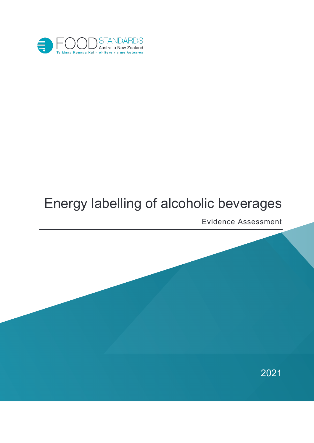<span id="page-0-0"></span>

# Energy labelling of alcoholic beverages

Evidence Assessment

2021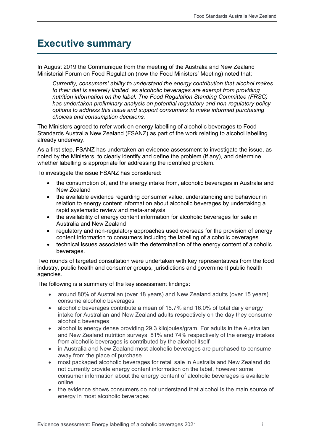# **Executive summary**

In August 2019 the Communique from the meeting of the Australia and New Zealand Ministerial Forum on Food Regulation (now the Food Ministers' Meeting) noted that:

*Currently, consumers' ability to understand the energy contribution that alcohol makes to their diet is severely limited, as alcoholic beverages are exempt from providing nutrition information on the label. The Food Regulation Standing Committee (FRSC) has undertaken preliminary analysis on potential regulatory and non-regulatory policy options to address this issue and support consumers to make informed purchasing choices and consumption decisions.*

The Ministers agreed to refer work on energy labelling of alcoholic beverages to Food Standards Australia New Zealand (FSANZ) as part of the work relating to alcohol labelling already underway.

As a first step, FSANZ has undertaken an evidence assessment to investigate the issue, as noted by the Ministers, to clearly identify and define the problem (if any), and determine whether labelling is appropriate for addressing the identified problem.

To investigate the issue FSANZ has considered:

- the consumption of, and the energy intake from, alcoholic beverages in Australia and New Zealand
- the available evidence regarding consumer value, understanding and behaviour in relation to energy content information about alcoholic beverages by undertaking a rapid systematic review and meta-analysis
- the availability of energy content information for alcoholic beverages for sale in Australia and New Zealand
- regulatory and non-regulatory approaches used overseas for the provision of energy content information to consumers including the labelling of alcoholic beverages
- technical issues associated with the determination of the energy content of alcoholic beverages.

Two rounds of targeted consultation were undertaken with key representatives from the food industry, public health and consumer groups, jurisdictions and government public health agencies.

The following is a summary of the key assessment findings:

- around 80% of Australian (over 18 years) and New Zealand adults (over 15 years) consume alcoholic beverages
- alcoholic beverages contribute a mean of 16.7% and 16.0% of total daily energy intake for Australian and New Zealand adults respectively on the day they consume alcoholic beverages
- alcohol is energy dense providing 29.3 kilojoules/gram. For adults in the Australian and New Zealand nutrition surveys, 81% and 74% respectively of the energy intakes from alcoholic beverages is contributed by the alcohol itself
- in Australia and New Zealand most alcoholic beverages are purchased to consume away from the place of purchase
- most packaged alcoholic beverages for retail sale in Australia and New Zealand do not currently provide energy content information on the label, however some consumer information about the energy content of alcoholic beverages is available online
- the evidence shows consumers do not understand that alcohol is the main source of energy in most alcoholic beverages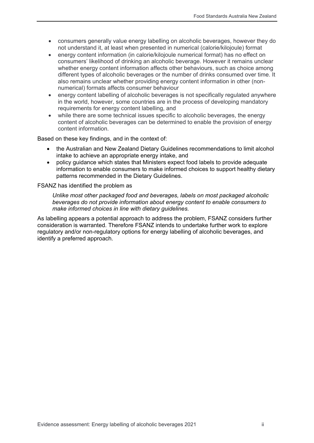- consumers generally value energy labelling on alcoholic beverages, however they do not understand it, at least when presented in numerical (calorie/kilojoule) format
- energy content information (in calorie/kilojoule numerical format) has no effect on consumers' likelihood of drinking an alcoholic beverage. However it remains unclear whether energy content information affects other behaviours, such as choice among different types of alcoholic beverages or the number of drinks consumed over time. It also remains unclear whether providing energy content information in other (nonnumerical) formats affects consumer behaviour
- energy content labelling of alcoholic beverages is not specifically regulated anywhere in the world, however, some countries are in the process of developing mandatory requirements for energy content labelling, and
- while there are some technical issues specific to alcoholic beverages, the energy content of alcoholic beverages can be determined to enable the provision of energy content information.

Based on these key findings, and in the context of:

- the Australian and New Zealand Dietary Guidelines recommendations to limit alcohol intake to achieve an appropriate energy intake, and
- policy guidance which states that Ministers expect food labels to provide adequate information to enable consumers to make informed choices to support healthy dietary patterns recommended in the Dietary Guidelines.

#### FSANZ has identified the problem as

*Unlike most other packaged food and beverages, labels on most packaged alcoholic beverages do not provide information about energy content to enable consumers to make informed choices in line with dietary guidelines.*

As labelling appears a potential approach to address the problem, FSANZ considers further consideration is warranted. Therefore FSANZ intends to undertake further work to explore regulatory and/or non-regulatory options for energy labelling of alcoholic beverages, and identify a preferred approach.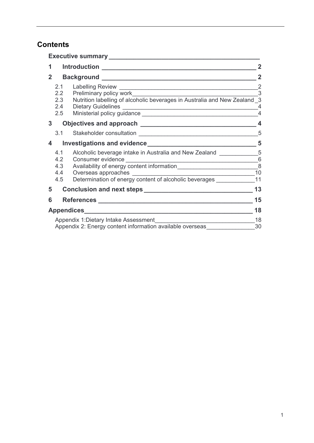# **Contents**

|              |                                             | Executive summary _____________                                                                               |                                                 |  |  |  |  |  |
|--------------|---------------------------------------------|---------------------------------------------------------------------------------------------------------------|-------------------------------------------------|--|--|--|--|--|
| 1            | Introduction _____________________<br>2     |                                                                                                               |                                                 |  |  |  |  |  |
| $\mathbf{2}$ |                                             |                                                                                                               |                                                 |  |  |  |  |  |
|              | 2.1<br>2.2<br>2.3<br>2.5                    | Labelling Review<br>Preliminary policy work                                                                   | $\overline{2}$<br>.<br>3<br>4<br>$\overline{4}$ |  |  |  |  |  |
| 3            |                                             |                                                                                                               | $\overline{\mathbf{4}}$                         |  |  |  |  |  |
|              | 3.1                                         |                                                                                                               | 5                                               |  |  |  |  |  |
| 4            |                                             |                                                                                                               | 5                                               |  |  |  |  |  |
|              | 4.1<br>4.2                                  | Alcoholic beverage intake in Australia and New Zealand ____________________5                                  | $6\phantom{1}6$                                 |  |  |  |  |  |
|              | 4.3<br>4.4                                  |                                                                                                               | 8<br>10                                         |  |  |  |  |  |
|              | 4.5                                         | Overseas approaches<br>Determination of energy content of alcoholic beverages                                 | 11                                              |  |  |  |  |  |
| 5            |                                             | Conclusion and next steps <b>Conclusion</b> and next steps <b>Conclusion</b> and next steps <b>CONCLUSION</b> | 13                                              |  |  |  |  |  |
| 6            | 15<br>References ________________________   |                                                                                                               |                                                 |  |  |  |  |  |
|              |                                             |                                                                                                               |                                                 |  |  |  |  |  |
|              | 18<br>Appendix 1: Dietary Intake Assessment |                                                                                                               |                                                 |  |  |  |  |  |
|              |                                             | Appendix 2: Energy content information available overseas                                                     | 30                                              |  |  |  |  |  |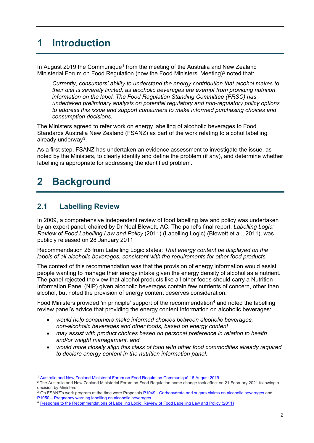# <span id="page-4-0"></span>**1 Introduction**

In August 20[1](#page-4-3)9 the Communique<sup>1</sup> from the meeting of the Australia and New Zealand Ministerial Forum on Food Regulation (now the Food Ministers' Meeting)<sup>[2](#page-4-4)</sup> noted that:

*Currently, consumers' ability to understand the energy contribution that alcohol makes to their diet is severely limited, as alcoholic beverages are exempt from providing nutrition information on the label. The Food Regulation Standing Committee (FRSC) has undertaken preliminary analysis on potential regulatory and non-regulatory policy options to address this issue and support consumers to make informed purchasing choices and consumption decisions.*

The Ministers agreed to refer work on energy labelling of alcoholic beverages to Food Standards Australia New Zealand (FSANZ) as part of the work relating to alcohol labelling already underway<sup>3</sup>.

As a first step, FSANZ has undertaken an evidence assessment to investigate the issue, as noted by the Ministers, to clearly identify and define the problem (if any), and determine whether labelling is appropriate for addressing the identified problem.

# <span id="page-4-1"></span>**2 Background**

# <span id="page-4-2"></span>**2.1 Labelling Review**

 $\overline{a}$ 

In 2009, a comprehensive independent review of food labelling law and policy was undertaken by an expert panel, chaired by Dr Neal Blewett, AC. The panel's final report, *Labelling Logic: Review of Food Labelling Law and Policy* (2011) (Labelling Logic) (Blewett et al., 2011), was publicly released on 28 January 2011.

Recommendation 26 from Labelling Logic states: *That energy content be displayed on the labels of all alcoholic beverages, consistent with the requirements for other food products.* 

The context of this recommendation was that the provision of energy information would assist people wanting to manage their energy intake given the energy density of alcohol as a nutrient. The panel rejected the view that alcohol products like all other foods should carry a Nutrition Information Panel (NIP) given alcoholic beverages contain few nutrients of concern, other than alcohol, but noted the provision of energy content deserves consideration.

Food Ministers provided 'in principle' support of the recommendation<sup>[4](#page-4-6)</sup> and noted the labelling review panel's advice that providing the energy content information on alcoholic beverages:

- *would help consumers make informed choices between alcoholic beverages, non-alcoholic beverages and other foods, based on energy content*
- *may assist with product choices based on personal preference in relation to health and/or weight management, and*
- *would more closely align this class of food with other food commodities already required to declare energy content in the nutrition information panel.*

<sup>1</sup> [Australia and New Zealand Ministerial Forum on Food Regulation Communiqué 16 August 2019](https://foodregulation.gov.au/internet/fr/publishing.nsf/Content/forum-communique-2019-August)

<span id="page-4-4"></span><span id="page-4-3"></span><sup>2</sup> The Australia and New Zealand Ministerial Forum on Food Regulation name change took effect on 21 February 2021 following a decision by Ministers.

<span id="page-4-5"></span><sup>&</sup>lt;sup>3</sup> On FSANZ's work program at the time were Proposals P1049 - [Carbohydrate and sugars claims on alcoholic beverages](https://www.foodstandards.gov.au/code/proposals/Pages/P1049.aspx) and P1050 – [Pregnancy warning labelling on alcoholic beverages.](https://www.foodstandards.gov.au/code/proposals/Pages/P1050Pregnancywarninglabelsonalcoholicbeverages.aspx)

<span id="page-4-6"></span><sup>&</sup>lt;sup>4</sup> [Response to the Recommendations of Labelling Logic: Review of Food Labelling Law and Policy \(2011\)](https://foodregulation.gov.au/internet/fr/publishing.nsf/Content/53351997D78AAC31CA258359007E80F5/$File/Forum-Response-to-the-Food-Labelling-Law-and-Policy-Review-9-12-2011.pdf)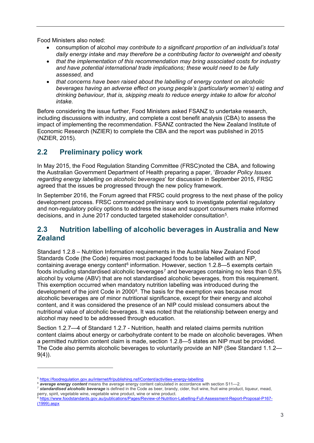Food Ministers also noted:

- consumption of alcohol *may contribute to a significant proportion of an individual's total daily energy intake* and *may therefore be a contributing factor to overweight and obesity*
- *that the implementation of this recommendation may bring associated costs for industry and have potential international trade implications; these would need to be fully assessed,* and
- *that concerns have been raised about the labelling of energy content on alcoholic beverages having an adverse effect on young people's (particularly women's) eating and drinking behaviour, that is, skipping meals to reduce energy intake to allow for alcohol intake.*

Before considering the issue further, Food Ministers asked FSANZ to undertake research, including discussions with industry, and complete a cost benefit analysis (CBA) to assess the impact of implementing the recommendation. FSANZ contracted the New Zealand Institute of Economic Research (NZIER) to complete the CBA and the report was published in 2015 (NZIER, 2015).

# <span id="page-5-0"></span>**2.2 Preliminary policy work**

In May 2015, the Food Regulation Standing Committee (FRSC)noted the CBA, and following the Australian Government Department of Health preparing a paper, '*Broader Policy Issues regarding energy labelling on alcoholic beverages*' for discussion in September 2015, FRSC agreed that the issues be progressed through the new policy framework.

In September 2016, the Forum agreed that FRSC could progress to the next phase of the policy development process. FRSC commenced preliminary work to investigate potential regulatory and non-regulatory policy options to address the issue and support consumers make informed decisions, and in June 2017 conducted targeted stakeholder consultation[5](#page-5-2).

# <span id="page-5-1"></span>**2.3 Nutrition labelling of alcoholic beverages in Australia and New Zealand**

Standard 1.2.8 – Nutrition Information requirements in the Australia New Zealand Food Standards Code (the Code) requires most packaged foods to be labelled with an NIP, containing average energy content<sup>[6](#page-5-3)</sup> information. However, section 1.2.8—5 exempts certain foods including standardised alcoholic beverages<sup>[7](#page-5-4)</sup> and beverages containing no less than  $0.5\%$ alcohol by volume (ABV) that are not standardised alcoholic beverages, from this requirement. This exemption occurred when mandatory nutrition labelling was introduced during the development of the joint Code in 2000[8](#page-5-5). The basis for the exemption was because most alcoholic beverages are of minor nutritional significance, except for their energy and alcohol content, and it was considered the presence of an NIP could mislead consumers about the nutritional value of alcoholic beverages. It was noted that the relationship between energy and alcohol may need to be addressed through education.

Section 1.2.7—4 of Standard 1.2.7 - Nutrition, health and related claims permits nutrition content claims about energy or carbohydrate content to be made on alcoholic beverages. When a permitted nutrition content claim is made, section 1.2.8—5 states an NIP must be provided. The Code also permits alcoholic beverages to voluntarily provide an NIP (See Standard 1.1.2—  $9(4)$ ).

<span id="page-5-2"></span><sup>5</sup> <https://foodregulation.gov.au/internet/fr/publishing.nsf/Content/activities-energy-labelling>

<span id="page-5-3"></span><sup>6</sup> *average energy content* means the average energy content calculated in accordance with section S11—2.

<span id="page-5-4"></span><sup>7</sup> *standardised alcoholic beverage* is defined in the Code as beer, brandy, cider, fruit wine, fruit wine product, liqueur, mead, perry, spirit, vegetable wine, vegetable wine product, wine or wine product.

<span id="page-5-5"></span><sup>8</sup> [https://www.foodstandards.gov.au/publications/Pages/Review-of-Nutrition-Labelling-Full-Assessment-Report-Proposal-P167-](https://www.foodstandards.gov.au/publications/Pages/Review-of-Nutrition-Labelling-Full-Assessment-Report-Proposal-P167-(1999).aspx) [\(1999\).aspx](https://www.foodstandards.gov.au/publications/Pages/Review-of-Nutrition-Labelling-Full-Assessment-Report-Proposal-P167-(1999).aspx)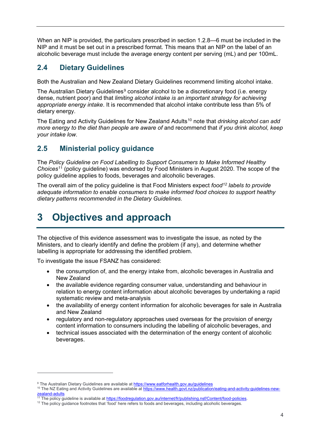When an NIP is provided, the particulars prescribed in section 1.2.8—6 must be included in the NIP and it must be set out in a prescribed format. This means that an NIP on the label of an alcoholic beverage must include the average energy content per serving (mL) and per 100mL.

# <span id="page-6-0"></span>**2.4 Dietary Guidelines**

Both the Australian and New Zealand Dietary Guidelines recommend limiting alcohol intake.

The Australian Dietary Guidelines<sup>[9](#page-6-3)</sup> consider alcohol to be a discretionary food (i.e. energy dense, nutrient poor) and that *limiting alcohol intake is an important strategy for achieving appropriate energy intake*. It is recommended that alcohol intake contribute less than 5% of dietary energy.

The Eating and Activity Guidelines for New Zealand Adults<sup>[10](#page-6-4)</sup> note that *drinking alcohol can add more energy to the diet than people are aware of and recommend that if you drink alcohol, keep your intake low.*

# <span id="page-6-1"></span>**2.5 Ministerial policy guidance**

The *Policy Guideline on Food Labelling to Support Consumers to Make Informed Healthy Choices*[11](#page-6-5) (policy guideline) was endorsed by Food Ministers in August 2020. The scope of the policy guideline applies to foods, beverages and alcoholic beverages.

The overall aim of the policy guideline is that Food Ministers expect *food[12](#page-6-6) labels to provide adequate information to enable consumers to make informed food choices to support healthy dietary patterns recommended in the Dietary Guidelines.*

# <span id="page-6-2"></span>**3 Objectives and approach**

The objective of this evidence assessment was to investigate the issue, as noted by the Ministers, and to clearly identify and define the problem (if any), and determine whether labelling is appropriate for addressing the identified problem.

To investigate the issue FSANZ has considered:

- the consumption of, and the energy intake from, alcoholic beverages in Australia and New Zealand
- the available evidence regarding consumer value, understanding and behaviour in relation to energy content information about alcoholic beverages by undertaking a rapid systematic review and meta-analysis
- the availability of energy content information for alcoholic beverages for sale in Australia and New Zealand
- regulatory and non-regulatory approaches used overseas for the provision of energy content information to consumers including the labelling of alcoholic beverages, and
- technical issues associated with the determination of the energy content of alcoholic beverages.

<span id="page-6-3"></span><sup>9</sup> The Australian Dietary Guidelines are available a[t https://www.eatforhealth.gov.au/guidelines](https://www.eatforhealth.gov.au/guidelines)

<span id="page-6-4"></span><sup>&</sup>lt;sup>10</sup> The NZ Eating and Activity Guidelines are available at [https://www.health.govt.nz/publication/eating-and-activity-guidelines-new](https://www.health.govt.nz/publication/eating-and-activity-guidelines-new-zealand-adults)[zealand-adults](https://www.health.govt.nz/publication/eating-and-activity-guidelines-new-zealand-adults)

<span id="page-6-5"></span><sup>&</sup>lt;sup>11</sup> The policy guideline is available at <u>https://foodregulation.gov.au/internet/fr/publishing.nsf/Content/food-policies</u>.<br><sup>12</sup> The policy guidance footnotes that 'food' here refers to foods and beverages, including alcoh

<span id="page-6-6"></span>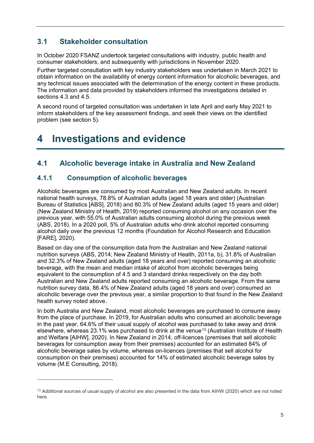# <span id="page-7-0"></span>**3.1 Stakeholder consultation**

In October 2020 FSANZ undertook targeted consultations with industry, public health and consumer stakeholders, and subsequently with jurisdictions in November 2020.

Further targeted consultation with key industry stakeholders was undertaken in March 2021 to obtain information on the availability of energy content information for alcoholic beverages, and any technical issues associated with the determination of the energy content in these products. The information and data provided by stakeholders informed the investigations detailed in sections 4.3 and 4.5.

A second round of targeted consultation was undertaken in late April and early May 2021 to inform stakeholders of the key assessment findings, and seek their views on the identified problem (see section 5).

# <span id="page-7-1"></span>**4 Investigations and evidence**

# <span id="page-7-2"></span>**4.1 Alcoholic beverage intake in Australia and New Zealand**

### **4.1.1 Consumption of alcoholic beverages**

 $\overline{a}$ 

Alcoholic beverages are consumed by most Australian and New Zealand adults. In recent national health surveys, 78.8% of Australian adults (aged 18 years and older) (Australian Bureau of Statistics [ABS], 2018) and 80.3% of New Zealand adults (aged 15 years and older) (New Zealand Ministry of Health, 2019) reported consuming alcohol on any occasion over the previous year, with 55.0% of Australian adults consuming alcohol during the previous week (ABS, 2018). In a 2020 poll, 5% of Australian adults who drink alcohol reported consuming alcohol daily over the previous 12 months (Foundation for Alcohol Research and Education [FARE], 2020).

Based on day one of the consumption data from the Australian and New Zealand national nutrition surveys (ABS, 2014; New Zealand Ministry of Health, 2011a, b), 31.8% of Australian and 32.3% of New Zealand adults (aged 18 years and over) reported consuming an alcoholic beverage, with the mean and median intake of alcohol from alcoholic beverages being equivalent to the consumption of 4.5 and 3 standard drinks respectively on the day both Australian and New Zealand adults reported consuming an alcoholic beverage. From the same nutrition survey data, 86.4% of New Zealand adults (aged 18 years and over) consumed an alcoholic beverage over the previous year, a similar proportion to that found in the New Zealand health survey noted above.

In both Australia and New Zealand, most alcoholic beverages are purchased to consume away from the place of purchase. In 2019, for Australian adults who consumed an alcoholic beverage in the past year, 64.6% of their usual supply of alcohol was purchased to take away and drink elsewhere, whereas 23.1% was purchased to drink at the venue<sup>[13](#page-7-3)</sup> (Australian Institute of Health and Welfare [AIHW], 2020). In New Zealand in 2014, off-licences (premises that sell alcoholic beverages for consumption away from their premises) accounted for an estimated 84% of alcoholic beverage sales by volume, whereas on-licences (premises that sell alcohol for consumption on their premises) accounted for 14% of estimated alcoholic beverage sales by volume (M.E Consulting, 2018).

<span id="page-7-3"></span><sup>&</sup>lt;sup>13</sup> Additional sources of usual supply of alcohol are also presented in the data from AIHW (2020) which are not noted here.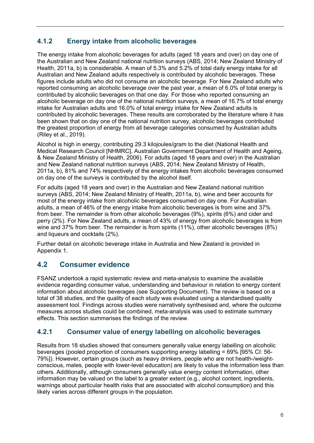### **4.1.2 Energy intake from alcoholic beverages**

The energy intake from alcoholic beverages for adults (aged 18 years and over) on day one of the Australian and New Zealand national nutrition surveys (ABS, 2014; New Zealand Ministry of Health, 2011a, b) is considerable. A mean of 5.3% and 5.2% of total daily energy intake for all Australian and New Zealand adults respectively is contributed by alcoholic beverages. These figures include adults who did not consume an alcoholic beverage. For New Zealand adults who reported consuming an alcoholic beverage over the past year, a mean of 6.0% of total energy is contributed by alcoholic beverages on that one day. For those who reported consuming an alcoholic beverage on day one of the national nutrition surveys, a mean of 16.7% of total energy intake for Australian adults and 16.0% of total energy intake for New Zealand adults is contributed by alcoholic beverages. These results are corroborated by the literature where it has been shown that on day one of the national nutrition survey, alcoholic beverages contributed the greatest proportion of energy from all beverage categories consumed by Australian adults (Riley et al., 2019).

Alcohol is high in energy, contributing 29.3 kilojoules/gram to the diet (National Health and Medical Research Council [NHMRC], Australian Government Department of Health and Ageing, & New Zealand Ministry of Health, 2006). For adults (aged 18 years and over) in the Australian and New Zealand national nutrition surveys (ABS, 2014; New Zealand Ministry of Health, 2011a, b), 81% and 74% respectively of the energy intakes from alcoholic beverages consumed on day one of the surveys is contributed by the alcohol itself.

For adults (aged 18 years and over) in the Australian and New Zealand national nutrition surveys (ABS, 2014; New Zealand Ministry of Health, 2011a, b), wine and beer accounts for most of the energy intake from alcoholic beverages consumed on day one. For Australian adults, a mean of 46% of the energy intake from alcoholic beverages is from wine and 37% from beer. The remainder is from other alcoholic beverages (9%), spirits (6%) and cider and perry (2%). For New Zealand adults, a mean of 43% of energy from alcoholic beverages is from wine and 37% from beer. The remainder is from spirits (11%), other alcoholic beverages (8%) and liqueurs and cocktails (2%).

Further detail on alcoholic beverage intake in Australia and New Zealand is provided in Appendix 1.

## <span id="page-8-0"></span>**4.2 Consumer evidence**

FSANZ undertook a rapid systematic review and meta-analysis to examine the available evidence regarding consumer value, understanding and behaviour in relation to energy content information about alcoholic beverages (see Supporting Document). The review is based on a total of 38 studies, and the quality of each study was evaluated using a standardised quality assessment tool. Findings across studies were narratively synthesised and, where the outcome measures across studies could be combined, meta-analysis was used to estimate summary effects. This section summarises the findings of the review.

### **4.2.1 Consumer value of energy labelling on alcoholic beverages**

Results from 18 studies showed that consumers generally value energy labelling on alcoholic beverages (pooled proportion of consumers supporting energy labelling = 69% [95% CI: 56- 79%]). However, certain groups (such as heavy drinkers, people who are not health-/weightconscious, males, people with lower-level education) are likely to value the information less than others. Additionally, although consumers generally value energy content information, other information may be valued on the label to a greater extent (e.g., alcohol content, ingredients, warnings about particular health risks that are associated with alcohol consumption) and this likely varies across different groups in the population.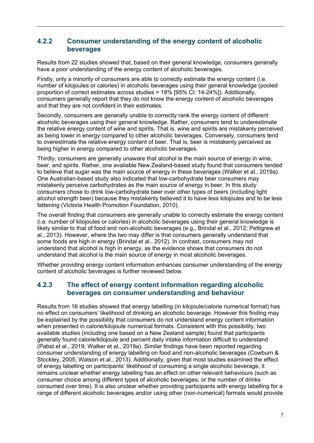### **4.2.2 Consumer understanding of the energy content of alcoholic beverages**

Results from 22 studies showed that, based on their general knowledge, consumers generally have a poor understanding of the energy content of alcoholic beverages.

Firstly, only a minority of consumers are able to correctly estimate the energy content (i.e. number of kilojoules or calories) in alcoholic beverages using their general knowledge (pooled proportion of correct estimates across studies = 18% [95% CI: 14-24%]). Additionally, consumers generally report that they do not know the energy content of alcoholic beverages and that they are not confident in their estimates.

Secondly, consumers are generally unable to correctly rank the energy content of different alcoholic beverages using their general knowledge. Rather, consumers tend to underestimate the relative energy content of wine and spirits. That is, wine and spirits are mistakenly perceived as being lower in energy compared to other alcoholic beverages. Conversely, consumers tend to overestimate the relative energy content of beer. That is, beer is mistakenly perceived as being higher in energy compared to other alcoholic beverages.

Thirdly, consumers are generally unaware that alcohol is the main source of energy in wine, beer, and spirits. Rather, one available New Zealand-based study found that consumers tended to believe that sugar was the main source of energy in these beverages (Walker et al., 2019a). One Australian-based study also indicated that low-carbohydrate beer consumers may mistakenly perceive carbohydrates as the main source of energy in beer. In this study consumers chose to drink low-carbohydrate beer over other types of beers (including light alcohol strength beer) because they mistakenly believed it to have less kilojoules and to be less fattening (Victoria Health Promotion Foundation, 2010).

The overall finding that consumers are generally unable to correctly estimate the energy content (i.e. number of kilojoules or calories) in alcoholic beverages using their general knowledge is likely similar to that of food and non-alcoholic beverages (e.g., Brindal et al., 2012; Pettigrew et al., 2013). However, where the two may differ is that consumers generally understand that some foods are high in energy (Brindal et al., 2012). In contrast, consumers may not understand that alcohol is high in energy, as the evidence shows that consumers do not understand that alcohol is the main source of energy in most alcoholic beverages.

Whether providing energy content information enhances consumer understanding of the energy content of alcoholic beverages is further reviewed below.

### **4.2.3 The effect of energy content information regarding alcoholic beverages on consumer understanding and behaviour**

Results from 16 studies showed that energy labelling (in kilojoule/calorie numerical format) has no effect on consumers' likelihood of drinking an alcoholic beverage. However this finding may be explained by the possibility that consumers do not understand energy content information when presented in calorie/kilojoule numerical formats. Consistent with this possibility, two available studies (including one based on a New Zealand sample) found that participants generally found calorie/kilojoule and percent daily intake information difficult to understand (Pabst et al., 2019; Walker et al., 2019a). Similar findings have been reported regarding consumer understanding of energy labelling on food and non-alcoholic beverages (Cowburn & Stockley, 2005; Watson et al., 2013). Additionally, given that most studies examined the effect of energy labelling on participants' likelihood of consuming a single alcoholic beverage, it remains unclear whether energy labelling has an effect on other relevant behaviours (such as consumer choice among different types of alcoholic beverages, or the number of drinks consumed over time). It is also unclear whether providing participants with energy labelling for a range of different alcoholic beverages and/or using other (non-numerical) formats would provide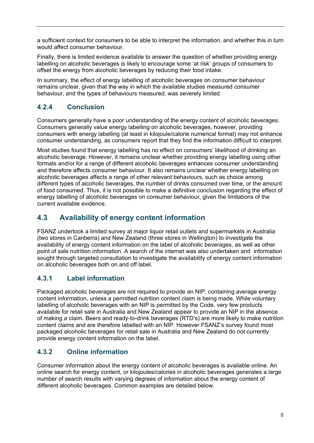a sufficient context for consumers to be able to interpret the information, and whether this in turn would affect consumer behaviour.

Finally, there is limited evidence available to answer the question of whether providing energy labelling on alcoholic beverages is likely to encourage some 'at risk' groups of consumers to offset the energy from alcoholic beverages by reducing their food intake.

In summary, the effect of energy labelling of alcoholic beverages on consumer behaviour remains unclear, given that the way in which the available studies measured consumer behaviour, and the types of behaviours measured, was severely limited.

# **4.2.4 Conclusion**

Consumers generally have a poor understanding of the energy content of alcoholic beverages. Consumers generally value energy labelling on alcoholic beverages, however, providing consumers with energy labelling (at least in kilojoule/calorie numerical format) may not enhance consumer understanding, as consumers report that they find the information difficult to interpret.

Most studies found that energy labelling has no effect on consumers' likelihood of drinking an alcoholic beverage. However, it remains unclear whether providing energy labelling using other formats and/or for a range of different alcoholic beverages enhances consumer understanding and therefore affects consumer behaviour. It also remains unclear whether energy labelling on alcoholic beverages affects a range of other relevant behaviours, such as choice among different types of alcoholic beverages, the number of drinks consumed over time, or the amount of food consumed. Thus, it is not possible to make a definitive conclusion regarding the effect of energy labelling of alcoholic beverages on consumer behaviour, given the limitations of the current available evidence.

# <span id="page-10-0"></span>**4.3 Availability of energy content information**

FSANZ undertook a limited survey at major liquor retail outlets and supermarkets in Australia (two stores in Canberra) and New Zealand (three stores in Wellington) to investigate the availability of energy content information on the label of alcoholic beverages, as well as other point of sale nutrition information. A search of the internet was also undertaken and information sought through targeted consultation to investigate the availability of energy content information on alcoholic beverages both on and off label.

## **4.3.1 Label information**

Packaged alcoholic beverages are not required to provide an NIP, containing average energy content information, unless a permitted nutrition content claim is being made. While voluntary labelling of alcoholic beverages with an NIP is permitted by the Code, very few products available for retail sale in Australia and New Zealand appear to provide an NIP in the absence of making a claim. Beers and ready-to-drink beverages (RTD's) are more likely to make nutrition content claims and are therefore labelled with an NIP. However FSANZ's survey found most packaged alcoholic beverages for retail sale in Australia and New Zealand do not currently provide energy content information on the label.

## **4.3.2 Online information**

Consumer information about the energy content of alcoholic beverages is available online. An online search for energy content, or kilojoules/calories in alcoholic beverages generates a large number of search results with varying degrees of information about the energy content of different alcoholic beverages. Common examples are detailed below.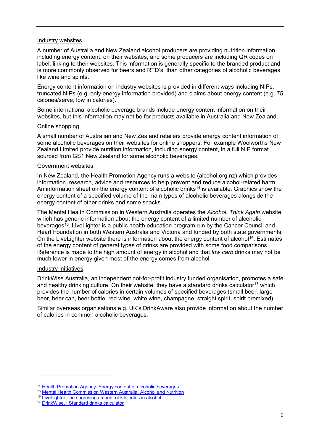#### Industry websites

A number of Australia and New Zealand alcohol producers are providing nutrition information, including energy content, on their websites, and some producers are including QR codes on label, linking to their websites. This information is generally specific to the branded product and is more commonly observed for beers and RTD's, than other categories of alcoholic beverages like wine and spirits.

Energy content information on industry websites is provided in different ways including NIPs, truncated NIPs (e.g. only energy information provided) and claims about energy content (e.g. 75 calories/serve, low in calories).

Some international alcoholic beverage brands include energy content information on their websites, but this information may not be for products available in Australia and New Zealand.

#### Online shopping

A small number of Australian and New Zealand retailers provide energy content information of some alcoholic beverages on their websites for online shoppers. For example Woolworths New Zealand Limited provide nutrition information, including energy content, in a full NIP format sourced from GS1 New Zealand for some alcoholic beverages.

#### Government websites

In New Zealand, the Health Promotion Agency runs a website (alcohol.org.nz) which provides information, research, advice and resources to help prevent and reduce alcohol-related harm. An information sheet on the energy content of alcoholic drinks<sup>[14](#page-11-0)</sup> is available. Graphics show the energy content of a specified volume of the main types of alcoholic beverages alongside the energy content of other drinks and some snacks.

The Mental Health Commission in Western Australia operates the *Alcohol. Think Again* website which has generic information about the energy content of a limited number of alcoholic beverages<sup>[15](#page-11-1)</sup>. LiveLighter is a public health education program run by the Cancer Council and Heart Foundation in both Western Australia and Victoria and funded by both state governments. On the LiveLighter website there is information about the energy content of alcohol<sup>16</sup>. Estimates of the energy content of general types of drinks are provided with some food comparisons. Reference is made to the high amount of energy in alcohol and that *low carb* drinks may not be much lower in energy given most of the energy comes from alcohol.

#### Industry initiatives

 $\overline{a}$ 

DrinkWise Australia, an independent not-for-profit industry funded organisation, promotes a safe and healthy drinking culture. On their website, they have a standard drinks calculator<sup>[17](#page-11-3)</sup> which provides the number of calories in certain volumes of specified beverages (small beer, large beer, beer can, beer bottle, red wine, white wine, champagne, straight spirit, spirit premixed).

Similar overseas organisations e.g. UK's DrinkAware also provide information about the number of calories in common alcoholic beverages.

<span id="page-11-0"></span><sup>&</sup>lt;sup>14</sup> [Health Promotion Agency. Energy content of alcoholic beverages](https://www.alcohol.org.nz/alcohol-its-effects/body-effects/main-body-effects)

<sup>15</sup> [Mental Health Commission Western Australia. Alcohol and Nutrition](https://alcoholthinkagain.com.au/alcohol-your-health/alcohol-and-long-term-health/alcohol-and-nutrition/)

<span id="page-11-2"></span><span id="page-11-1"></span><sup>&</sup>lt;sup>16</sup> LiveLighter. The surprising amount of kilojoules in alcohol

<span id="page-11-3"></span><sup>17</sup> [DrinkWise. | Standard drinks calculator](https://drinkwise.org.au/standard-drinks-calculator/)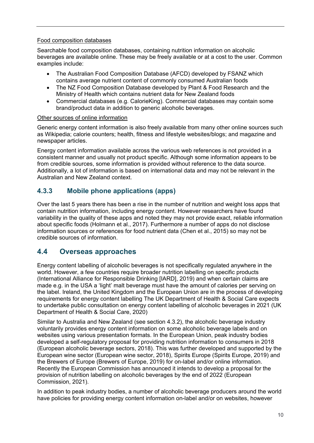#### Food composition databases

Searchable food composition databases, containing nutrition information on alcoholic beverages are available online. These may be freely available or at a cost to the user. Common examples include:

- The Australian Food Composition Database (AFCD) developed by FSANZ which contains average nutrient content of commonly consumed Australian foods
- The NZ Food Composition Database developed by Plant & Food Research and the Ministry of Health which contains nutrient data for New Zealand foods
- Commercial databases (e.g. CalorieKing). Commercial databases may contain some brand/product data in addition to generic alcoholic beverages.

#### Other sources of online information

Generic energy content information is also freely available from many other online sources such as Wikipedia; calorie counters; health, fitness and lifestyle websites/blogs; and magazine and newspaper articles.

Energy content information available across the various web references is not provided in a consistent manner and usually not product specific. Although some information appears to be from credible sources, some information is provided without reference to the data source. Additionally, a lot of information is based on international data and may not be relevant in the Australian and New Zealand context.

### **4.3.3 Mobile phone applications (apps)**

Over the last 5 years there has been a rise in the number of nutrition and weight loss apps that contain nutrition information, including energy content. However researchers have found variability in the quality of these apps and noted they may not provide exact, reliable information about specific foods (Holmann et al., 2017). Furthermore a number of apps do not disclose information sources or references for food nutrient data (Chen et al., 2015) so may not be credible sources of information.

## <span id="page-12-0"></span>**4.4 Overseas approaches**

Energy content labelling of alcoholic beverages is not specifically regulated anywhere in the world. However, a few countries require broader nutrition labelling on specific products (International Alliance for Responsible Drinking [IARD], 2019) and when certain claims are made e.g. in the USA a 'light' malt beverage must have the amount of calories per serving on the label. Ireland, the United Kingdom and the European Union are in the process of developing requirements for energy content labelling The UK Department of Health & Social Care expects to undertake public consultation on energy content labelling of alcoholic beverages in 2021 (UK Department of Health & Social Care, 2020)

Similar to Australia and New Zealand (see section 4.3.2), the alcoholic beverage industry voluntarily provides energy content information on some alcoholic beverage labels and on websites using various presentation formats. In the European Union, peak industry bodies developed a self-regulatory proposal for providing nutrition information to consumers in 2018 (European alcoholic beverage sectors, 2018). This was further developed and supported by the European wine sector (European wine sector, 2018), Spirits Europe (Spirits Europe, 2019) and the Brewers of Europe (Brewers of Europe, 2019) for on-label and/or online information. Recently the European Commission has announced it intends to develop a proposal for the provision of nutrition labelling on alcoholic beverages by the end of 2022 (European Commission, 2021).

In addition to peak industry bodies, a number of alcoholic beverage producers around the world have policies for providing energy content information on-label and/or on websites, however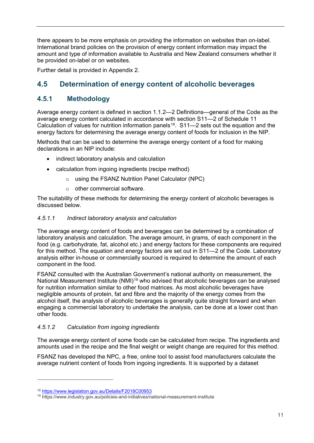there appears to be more emphasis on providing the information on websites than on-label. International brand policies on the provision of energy content information may impact the amount and type of information available to Australia and New Zealand consumers whether it be provided on-label or on websites.

Further detail is provided in Appendix 2.

# <span id="page-13-0"></span>**4.5 Determination of energy content of alcoholic beverages**

### **4.5.1 Methodology**

Average energy content is defined in section 1.1.2—2 Definitions—general of the Code as the average energy content calculated in accordance with section S11—2 of Schedule 11 Calculation of values for nutrition information panels*[18](#page-13-1)*. S11—2 sets out the equation and the energy factors for determining the average energy content of foods for inclusion in the NIP.

Methods that can be used to determine the average energy content of a food for making declarations in an NIP include:

- indirect laboratory analysis and calculation
- calculation from ingoing ingredients (recipe method)
	- o using the FSANZ Nutrition Panel Calculator (NPC)
	- $\circ$  other commercial software.

The suitability of these methods for determining the energy content of alcoholic beverages is discussed below.

#### *4.5.1.1 Indirect laboratory analysis and calculation*

The average energy content of foods and beverages can be determined by a combination of laboratory analysis and calculation. The average amount, in grams, of each component in the food (e.g. carbohydrate, fat, alcohol etc.) and energy factors for these components are required for this method. The equation and energy factors are set out in S11—2 of the Code. Laboratory analysis either in-house or commercially sourced is required to determine the amount of each component in the food.

FSANZ consulted with the Australian Government's national authority on measurement, the National Measurement Institute (NMI)<sup>[19](#page-13-2)</sup> who advised that alcoholic beverages can be analysed for nutrition information similar to other food matrices. As most alcoholic beverages have negligible amounts of protein, fat and fibre and the majority of the energy comes from the alcohol itself, the analysis of alcoholic beverages is generally quite straight forward and when engaging a commercial laboratory to undertake the analysis, can be done at a lower cost than other foods.

#### *4.5.1.2 Calculation from ingoing ingredients*

The average energy content of some foods can be calculated from recipe. The ingredients and amounts used in the recipe and the final weight or weight change are required for this method.

FSANZ has developed the NPC, a free, online tool to assist food manufacturers calculate the average nutrient content of foods from ingoing ingredients. It is supported by a dataset

<span id="page-13-1"></span><sup>18</sup> <https://www.legislation.gov.au/Details/F2018C00953>

<span id="page-13-2"></span><sup>19</sup> https://www.industry.gov.au/policies-and-initiatives/national-measurement-institute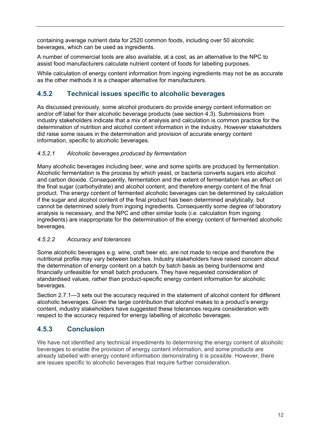containing average nutrient data for 2520 common foods, including over 50 alcoholic beverages, which can be used as ingredients.

A number of commercial tools are also available, at a cost, as an alternative to the NPC to assist food manufacturers calculate nutrient content of foods for labelling purposes.

While calculation of energy content information from ingoing ingredients may not be as accurate as the other methods it is a cheaper alternative for manufacturers.

### **4.5.2 Technical issues specific to alcoholic beverages**

As discussed previously, some alcohol producers do provide energy content information on and/or off label for their alcoholic beverage products (see section 4.3). Submissions from industry stakeholders indicate that a mix of analysis and calculation is common practice for the determination of nutrition and alcohol content information in the industry. However stakeholders did raise some issues in the determination and provision of accurate energy content information, specific to alcoholic beverages.

#### *4.5.2.1 Alcoholic beverages produced by fermentation*

Many alcoholic beverages including beer, wine and some spirits are produced by fermentation. Alcoholic fermentation is the process by which yeast, or bacteria converts sugars into alcohol and carbon dioxide. Consequently, fermentation and the extent of fermentation has an effect on the final sugar (carbohydrate) and alcohol content, and therefore energy content of the final product. The energy content of fermented alcoholic beverages can be determined by calculation if the sugar and alcohol content of the final product has been determined analytically, but cannot be determined solely from ingoing ingredients. Consequently some degree of laboratory analysis is necessary, and the NPC and other similar tools (i.e. calculation from ingoing ingredients) are inappropriate for the determination of the energy content of fermented alcoholic beverages.

#### *4.5.2.2 Accuracy and tolerances*

Some alcoholic beverages e.g. wine, craft beer etc. are not made to recipe and therefore the nutritional profile may vary between batches. Industry stakeholders have raised concern about the determination of energy content on a batch by batch basis as being burdensome and financially unfeasible for small batch producers. They have requested consideration of standardised values, rather than product-specific energy content information for alcoholic beverages.

Section 2.7.1—3 sets out the accuracy required in the statement of alcohol content for different alcoholic beverages. Given the large contribution that alcohol makes to a product's energy content, industry stakeholders have suggested these tolerances require consideration with respect to the accuracy required for energy labelling of alcoholic beverages.

## **4.5.3 Conclusion**

We have not identified any technical impediments to determining the energy content of alcoholic beverages to enable the provision of energy content information, and some products are already labelled with energy content information demonstrating it is possible. However, there are issues specific to alcoholic beverages that require further consideration.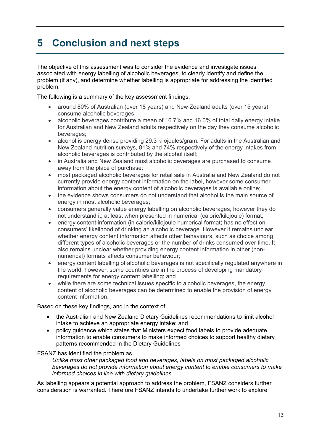# <span id="page-15-0"></span>**5 Conclusion and next steps**

The objective of this assessment was to consider the evidence and investigate issues associated with energy labelling of alcoholic beverages, to clearly identify and define the problem (if any), and determine whether labelling is appropriate for addressing the identified problem.

The following is a summary of the key assessment findings:

- around 80% of Australian (over 18 years) and New Zealand adults (over 15 years) consume alcoholic beverages;
- alcoholic beverages contribute a mean of 16.7% and 16.0% of total daily energy intake for Australian and New Zealand adults respectively on the day they consume alcoholic beverages;
- alcohol is energy dense providing 29.3 kilojoules/gram. For adults in the Australian and New Zealand nutrition surveys, 81% and 74% respectively of the energy intakes from alcoholic beverages is contributed by the alcohol itself;
- in Australia and New Zealand most alcoholic beverages are purchased to consume away from the place of purchase;
- most packaged alcoholic beverages for retail sale in Australia and New Zealand do not currently provide energy content information on the label, however some consumer information about the energy content of alcoholic beverages is available online;
- the evidence shows consumers do not understand that alcohol is the main source of energy in most alcoholic beverages;
- consumers generally value energy labelling on alcoholic beverages, however they do not understand it, at least when presented in numerical (calorie/kilojoule) format;
- energy content information (in calorie/kilojoule numerical format) has no effect on consumers' likelihood of drinking an alcoholic beverage. However it remains unclear whether energy content information affects other behaviours, such as choice among different types of alcoholic beverages or the number of drinks consumed over time. It also remains unclear whether providing energy content information in other (nonnumerical) formats affects consumer behaviour;
- energy content labelling of alcoholic beverages is not specifically regulated anywhere in the world, however, some countries are in the process of developing mandatory requirements for energy content labelling; and
- while there are some technical issues specific to alcoholic beverages, the energy content of alcoholic beverages can be determined to enable the provision of energy content information.

Based on these key findings, and in the context of:

- the Australian and New Zealand Dietary Guidelines recommendations to limit alcohol intake to achieve an appropriate energy intake; and
- policy guidance which states that Ministers expect food labels to provide adequate information to enable consumers to make informed choices to support healthy dietary patterns recommended in the Dietary Guidelines

#### FSANZ has identified the problem as

*Unlike most other packaged food and beverages, labels on most packaged alcoholic beverages do not provide information about energy content to enable consumers to make informed choices in line with dietary guidelines.*

As labelling appears a potential approach to address the problem, FSANZ considers further consideration is warranted. Therefore FSANZ intends to undertake further work to explore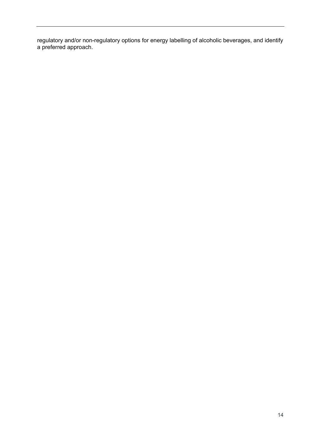regulatory and/or non-regulatory options for energy labelling of alcoholic beverages, and identify a preferred approach.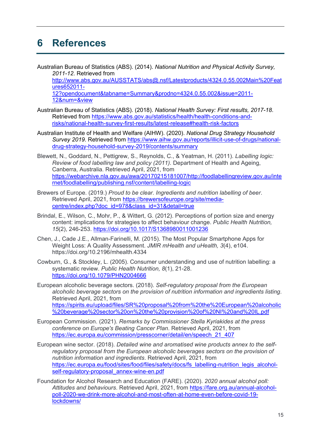# <span id="page-17-0"></span>**6 References**

Australian Bureau of Statistics (ABS). (2014). *National Nutrition and Physical Activity Survey, 2011-12*. Retrieved from

[http://www.abs.gov.au/AUSSTATS/abs@.nsf/Latestproducts/4324.0.55.002Main%20Feat](http://www.abs.gov.au/AUSSTATS/abs@.nsf/Latestproducts/4324.0.55.002Main%20Features652011-12?opendocument&tabname=Summary&prodno=4324.0.55.002&issue=2011-12&num=&view) [ures652011-](http://www.abs.gov.au/AUSSTATS/abs@.nsf/Latestproducts/4324.0.55.002Main%20Features652011-12?opendocument&tabname=Summary&prodno=4324.0.55.002&issue=2011-12&num=&view)

[12?opendocument&tabname=Summary&prodno=4324.0.55.002&issue=2011-](http://www.abs.gov.au/AUSSTATS/abs@.nsf/Latestproducts/4324.0.55.002Main%20Features652011-12?opendocument&tabname=Summary&prodno=4324.0.55.002&issue=2011-12&num=&view) [12&num=&view](http://www.abs.gov.au/AUSSTATS/abs@.nsf/Latestproducts/4324.0.55.002Main%20Features652011-12?opendocument&tabname=Summary&prodno=4324.0.55.002&issue=2011-12&num=&view)

- Australian Bureau of Statistics (ABS). (2018). *National Health Survey: First results, 2017-18*. Retrieved from [https://www.abs.gov.au/statistics/health/health-conditions-and](https://www.abs.gov.au/statistics/health/health-conditions-and-risks/national-health-survey-first-results/latest-release#health-risk-factors)[risks/national-health-survey-first-results/latest-release#health-risk-factors](https://www.abs.gov.au/statistics/health/health-conditions-and-risks/national-health-survey-first-results/latest-release#health-risk-factors)
- Australian Institute of Health and Welfare (AIHW). (2020). *National Drug Strategy Household Survey 2019*. Retrieved from [https://www.aihw.gov.au/reports/illicit-use-of-drugs/national](https://www.aihw.gov.au/reports/illicit-use-of-drugs/national-drug-strategy-household-survey-2019/contents/summary)[drug-strategy-household-survey-2019/contents/summary](https://www.aihw.gov.au/reports/illicit-use-of-drugs/national-drug-strategy-household-survey-2019/contents/summary)
- Blewett, N., Goddard, N., Pettigrew, S., Reynolds, C., & Yeatman, H. (2011). *Labelling logic: Review of food labelling law and policy (2011).* Department of Health and Ageing, Canberra, Australia. Retrieved April, 2021, from [https://webarchive.nla.gov.au/awa/20170215181007/http://foodlabellingreview.gov.au/inte](https://webarchive.nla.gov.au/awa/20170215181007/http:/foodlabellingreview.gov.au/internet/foodlabelling/publishing.nsf/content/labelling-logic) [rnet/foodlabelling/publishing.nsf/content/labelling-logic](https://webarchive.nla.gov.au/awa/20170215181007/http:/foodlabellingreview.gov.au/internet/foodlabelling/publishing.nsf/content/labelling-logic)
- Brewers of Europe. (2019.) *Proud to be clear. Ingredients and nutrition labelling of beer*. Retrieved April, 2021, from [https://brewersofeurope.org/site/media](https://brewersofeurope.org/site/media-centre/index.php?doc_id=978&class_id=31&detail=true)[centre/index.php?doc\\_id=978&class\\_id=31&detail=true](https://brewersofeurope.org/site/media-centre/index.php?doc_id=978&class_id=31&detail=true)
- Brindal, E., Wilson, C., Mohr, P., & Wittert, G. (2012). Perceptions of portion size and energy content: implications for strategies to affect behaviour change. *Public Health Nutrition, 15*(2), 246-253. <https://doi.org/10.1017/S1368980011001236>
- Chen, J., Cade J.E., Allman-Farinelli, M. (2015). The Most Popular Smartphone Apps for Weight Loss: A Quality Assessment. *JMIR mHealth and uHealth, 3*(4), e104. https://doi.org/10.2196/mhealth.4334
- Cowburn, G., & Stockley, L. (2005). Consumer understanding and use of nutrition labelling: a systematic review. *Public Health Nutrition, 8*(1), 21-28. <https://doi.org/10.1079/PHN2004666>

European alcoholic beverage sectors. (2018). *Self-regulatory proposal from the European alcoholic beverage sectors on the provision of nutrition information and ingredients listing*. Retrieved April, 2021, from [https://spirits.eu/upload/files/SR%20proposal%20from%20the%20European%20alcoholic](https://spirits.eu/upload/files/SR%20proposal%20from%20the%20European%20alcoholic%20beverage%20sector%20on%20the%20provision%20of%20NI%20and%20IL.pdf) [%20beverage%20sector%20on%20the%20provision%20of%20NI%20and%20IL.pdf](https://spirits.eu/upload/files/SR%20proposal%20from%20the%20European%20alcoholic%20beverage%20sector%20on%20the%20provision%20of%20NI%20and%20IL.pdf)

- European Commission. (2021). *Remarks by Commissioner Stella Kyriakides at the press conference on Europe's Beating Cancer Plan*. Retrieved April, 2021, from [https://ec.europa.eu/commission/presscorner/detail/en/speech\\_21\\_407](https://ec.europa.eu/commission/presscorner/detail/en/speech_21_407)
- European wine sector. (2018). *Detailed wine and aromatised wine products annex to the selfregulatory proposal from the European alcoholic beverages sectors on the provision of nutrition information and ingredients*. Retrieved April, 2021, from [https://ec.europa.eu/food/sites/food/files/safety/docs/fs\\_labelling-nutrition\\_legis\\_alcohol](https://ec.europa.eu/food/sites/food/files/safety/docs/fs_labelling-nutrition_legis_alcohol-self-regulatory-proposal_annex-wine-en.pdf)[self-regulatory-proposal\\_annex-wine-en.pdf](https://ec.europa.eu/food/sites/food/files/safety/docs/fs_labelling-nutrition_legis_alcohol-self-regulatory-proposal_annex-wine-en.pdf)
- Foundation for Alcohol Research and Education (FARE). (2020). *2020 annual alcohol poll: Attitudes and behaviours*. Retrieved April, 2021, from [https://fare.org.au/annual-alcohol](https://fare.org.au/annual-alcohol-poll-2020-we-drink-more-alcohol-and-most-often-at-home-even-before-covid-19-lockdowns/)[poll-2020-we-drink-more-alcohol-and-most-often-at-home-even-before-covid-19](https://fare.org.au/annual-alcohol-poll-2020-we-drink-more-alcohol-and-most-often-at-home-even-before-covid-19-lockdowns/) [lockdowns/](https://fare.org.au/annual-alcohol-poll-2020-we-drink-more-alcohol-and-most-often-at-home-even-before-covid-19-lockdowns/)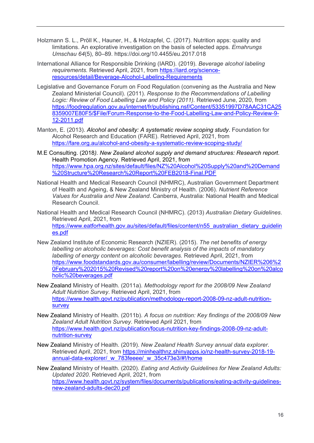- Holzmann S. L., Pröll K., Hauner, H., & Holzapfel, C. (2017). Nutrition apps: quality and limitations. An explorative investigation on the basis of selected apps. *Ernahrungs Umschau 64*(5), 80–89. https://doi.org/10.4455/eu.2017.018
- International Alliance for Responsible Drinking (IARD). (2019). *Beverage alcohol labeling requirements.* Retrieved April, 2021, from [https://iard.org/science](https://iard.org/science-resources/detail/Beverage-Alcohol-Labeling-Requirements)[resources/detail/Beverage-Alcohol-Labeling-Requirements](https://iard.org/science-resources/detail/Beverage-Alcohol-Labeling-Requirements)
- Legislative and Governance Forum on Food Regulation (convening as the Australia and New Zealand Ministerial Council). (2011). *Response to the Recommendations of Labelling Logic: Review of Food Labelling Law and Policy (2011).* Retrieved June, 2020, from [https://foodregulation.gov.au/internet/fr/publishing.nsf/Content/53351997D78AAC31CA25](https://foodregulation.gov.au/internet/fr/publishing.nsf/Content/53351997D78AAC31CA258359007E80F5/$File/Forum-Response-to-the-Food-Labelling-Law-and-Policy-Review-9-12-2011.pdf) [8359007E80F5/\\$File/Forum-Response-to-the-Food-Labelling-Law-and-Policy-Review-9-](https://foodregulation.gov.au/internet/fr/publishing.nsf/Content/53351997D78AAC31CA258359007E80F5/$File/Forum-Response-to-the-Food-Labelling-Law-and-Policy-Review-9-12-2011.pdf) [12-2011.pdf](https://foodregulation.gov.au/internet/fr/publishing.nsf/Content/53351997D78AAC31CA258359007E80F5/$File/Forum-Response-to-the-Food-Labelling-Law-and-Policy-Review-9-12-2011.pdf)
- Manton, E. (2013). *Alcohol and obesity: A systematic review scoping study*. Foundation for Alcohol Research and Education (FARE). Retrieved April, 2021, from <https://fare.org.au/alcohol-and-obesity-a-systematic-review-scoping-study/>
- M.E Consulting. (2018*). New Zealand alcohol supply and demand structures: Research report*. Health Promotion Agency. Retrieved April, 2021, from [https://www.hpa.org.nz/sites/default/files/NZ%20Alcohol%20Supply%20and%20Demand](https://www.hpa.org.nz/sites/default/files/NZ%20Alcohol%20Supply%20and%20Demand%20Structure%20Research%20Report%20FEB2018-Final.PDF) [%20Structure%20Research%20Report%20FEB2018-Final.PDF](https://www.hpa.org.nz/sites/default/files/NZ%20Alcohol%20Supply%20and%20Demand%20Structure%20Research%20Report%20FEB2018-Final.PDF)
- National Health and Medical Research Council (NHMRC), Australian Government Department of Health and Ageing, & New Zealand Ministry of Health. (2006). *Nutrient Reference Values for Australia and New Zealand*. Canberra, Australia: National Health and Medical Research Council.
- National Health and Medical Research Council (NHMRC). (2013) *Australian Dietary Guidelines*. Retrieved April, 2021, from [https://www.eatforhealth.gov.au/sites/default/files/content/n55\\_australian\\_dietary\\_guidelin](https://www.eatforhealth.gov.au/sites/default/files/content/n55_australian_dietary_guidelines.pdf) [es.pdf](https://www.eatforhealth.gov.au/sites/default/files/content/n55_australian_dietary_guidelines.pdf)
- New Zealand Institute of Economic Research (NZIER). (2015). *The net benefits of energy labelling on alcoholic beverages: Cost benefit analysis of the impacts of mandatory labelling of energy content on alcoholic beverages.* Retrieved April, 2021, from [https://www.foodstandards.gov.au/consumer/labelling/review/Documents/NZIER%206%2](https://www.foodstandards.gov.au/consumer/labelling/review/Documents/NZIER%206%20February%202015%20Revised%20report%20on%20energy%20labelling%20on%20alcoholic%20beverages.pdf) [0February%202015%20Revised%20report%20on%20energy%20labelling%20on%20alco](https://www.foodstandards.gov.au/consumer/labelling/review/Documents/NZIER%206%20February%202015%20Revised%20report%20on%20energy%20labelling%20on%20alcoholic%20beverages.pdf) [holic%20beverages.pdf](https://www.foodstandards.gov.au/consumer/labelling/review/Documents/NZIER%206%20February%202015%20Revised%20report%20on%20energy%20labelling%20on%20alcoholic%20beverages.pdf)
- New Zealand Ministry of Health. (2011a). *Methodology report for the 2008/09 New Zealand Adult Nutrition Survey*. Retrieved April, 2021, from [https://www.health.govt.nz/publication/methodology-report-2008-09-nz-adult-nutrition](https://www.health.govt.nz/publication/methodology-report-2008-09-nz-adult-nutrition-survey)[survey](https://www.health.govt.nz/publication/methodology-report-2008-09-nz-adult-nutrition-survey)
- New Zealand Ministry of Health. (2011b). *A focus on nutrition: Key findings of the 2008/09 New Zealand Adult Nutrition Survey*. Retrieved April 2021, from [https://www.health.govt.nz/publication/focus-nutrition-key-findings-2008-09-nz-adult](https://www.health.govt.nz/publication/focus-nutrition-key-findings-2008-09-nz-adult-nutrition-survey)[nutrition-survey](https://www.health.govt.nz/publication/focus-nutrition-key-findings-2008-09-nz-adult-nutrition-survey)
- New Zealand Ministry of Health. (2019). *New Zealand Health Survey annual data explorer*. Retrieved April, 2021, from [https://minhealthnz.shinyapps.io/nz-health-survey-2018-19](https://minhealthnz.shinyapps.io/nz-health-survey-2018-19-annual-data-explorer/_w_783feeee/_w_35c473e3/#!/home) [annual-data-explorer/\\_w\\_783feeee/\\_w\\_35c473e3/#!/home](https://minhealthnz.shinyapps.io/nz-health-survey-2018-19-annual-data-explorer/_w_783feeee/_w_35c473e3/#!/home)
- New Zealand Ministry of Health. (2020). *Eating and Activity Guidelines for New Zealand Adults: Updated 2020*. Retrieved April, 2021, from [https://www.health.govt.nz/system/files/documents/publications/eating-activity-guidelines](https://www.health.govt.nz/system/files/documents/publications/eating-activity-guidelines-new-zealand-adults-dec20.pdf)[new-zealand-adults-dec20.pdf](https://www.health.govt.nz/system/files/documents/publications/eating-activity-guidelines-new-zealand-adults-dec20.pdf)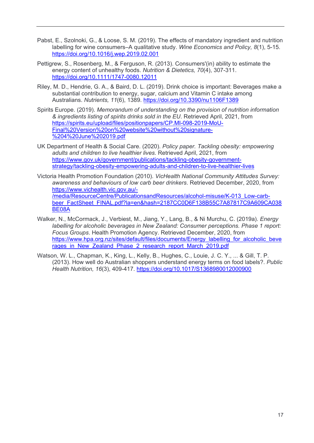- Pabst, E., Szolnoki, G., & Loose, S. M. (2019). The effects of mandatory ingredient and nutrition labelling for wine consumers–A qualitative study. *Wine Economics and Policy, 8*(1), 5-15. <https://doi.org/10.1016/j.wep.2019.02.001>
- Pettigrew, S., Rosenberg, M., & Ferguson, R. (2013). Consumers'(in) ability to estimate the energy content of unhealthy foods. *Nutrition & Dietetics, 70*(4), 307-311. <https://doi.org/10.1111/1747-0080.12011>
- Riley, M. D., Hendrie, G. A., & Baird, D. L. (2019). Drink choice is important: Beverages make a substantial contribution to energy, sugar, calcium and Vitamin C intake among Australians. *Nutrients, 11*(6), 1389.<https://doi.org/10.3390/nu1106F1389>
- Spirits Europe. (2019). *Memorandum of understanding on the provision of nutrition information & ingredients listing of spirits drinks sold in the EU*. Retrieved April, 2021, from [https://spirits.eu/upload/files/positionpapers/CP.MI-098-2019-MoU-](https://spirits.eu/upload/files/positionpapers/CP.MI-098-2019-MoU-Final%20Version%20on%20website%20without%20signature-%204%20June%202019.pdf)[Final%20Version%20on%20website%20without%20signature-](https://spirits.eu/upload/files/positionpapers/CP.MI-098-2019-MoU-Final%20Version%20on%20website%20without%20signature-%204%20June%202019.pdf) [%204%20June%202019.pdf](https://spirits.eu/upload/files/positionpapers/CP.MI-098-2019-MoU-Final%20Version%20on%20website%20without%20signature-%204%20June%202019.pdf)
- UK Department of Health & Social Care. (2020). *Policy paper. Tackling obesity: empowering adults and children to live healthier lives.* Retrieved April, 2021, from [https://www.gov.uk/government/publications/tackling-obesity-government](https://www.gov.uk/government/publications/tackling-obesity-government-strategy/tackling-obesity-empowering-adults-and-children-to-live-healthier-lives)[strategy/tackling-obesity-empowering-adults-and-children-to-live-healthier-lives](https://www.gov.uk/government/publications/tackling-obesity-government-strategy/tackling-obesity-empowering-adults-and-children-to-live-healthier-lives)
- Victoria Health Promotion Foundation (2010). *VicHealth National Community Attitudes Survey: awareness and behaviours of low carb beer drinkers*. Retrieved December, 2020, from [https://www.vichealth.vic.gov.au/-](https://www.vichealth.vic.gov.au/-/media/ResourceCentre/PublicationsandResources/alcohol-misuse/K-013_Low-carb-beer_FactSheet_FINAL.pdf?la=en&hash=2187CC0D6F138B55C7A87817C9A609CA038BE08A) [/media/ResourceCentre/PublicationsandResources/alcohol-misuse/K-013\\_Low-carb](https://www.vichealth.vic.gov.au/-/media/ResourceCentre/PublicationsandResources/alcohol-misuse/K-013_Low-carb-beer_FactSheet_FINAL.pdf?la=en&hash=2187CC0D6F138B55C7A87817C9A609CA038BE08A)[beer\\_FactSheet\\_FINAL.pdf?la=en&hash=2187CC0D6F138B55C7A87817C9A609CA038](https://www.vichealth.vic.gov.au/-/media/ResourceCentre/PublicationsandResources/alcohol-misuse/K-013_Low-carb-beer_FactSheet_FINAL.pdf?la=en&hash=2187CC0D6F138B55C7A87817C9A609CA038BE08A) [BE08A](https://www.vichealth.vic.gov.au/-/media/ResourceCentre/PublicationsandResources/alcohol-misuse/K-013_Low-carb-beer_FactSheet_FINAL.pdf?la=en&hash=2187CC0D6F138B55C7A87817C9A609CA038BE08A)
- Walker, N., McCormack, J., Verbiest, M., Jiang, Y., Lang, B., & Ni Murchu, C. (2019a). *Energy labelling for alcoholic beverages in New Zealand: Consumer perceptions. Phase 1 report: Focus Groups*. Health Promotion Agency. Retrieved December, 2020, from [https://www.hpa.org.nz/sites/default/files/documents/Energy\\_labelling\\_for\\_alcoholic\\_beve](https://www.hpa.org.nz/sites/default/files/documents/Energy_labelling_for_alcoholic_beverages_in_New_Zealand_Phase_2_research_report_March_2019.pdf) [rages\\_in\\_New\\_Zealand\\_Phase\\_2\\_research\\_report\\_March\\_2019.pdf](https://www.hpa.org.nz/sites/default/files/documents/Energy_labelling_for_alcoholic_beverages_in_New_Zealand_Phase_2_research_report_March_2019.pdf)
- Watson, W. L., Chapman, K., King, L., Kelly, B., Hughes, C., Louie, J. C. Y., ... & Gill, T. P. (2013). How well do Australian shoppers understand energy terms on food labels?. *Public Health Nutrition, 16*(3), 409-417. <https://doi.org/10.1017/S1368980012000900>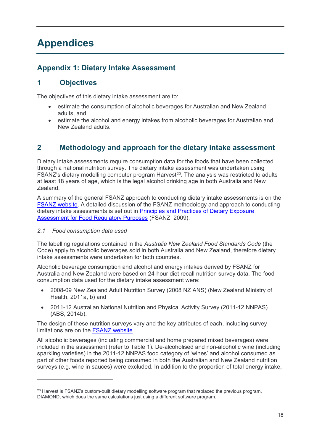# <span id="page-20-0"></span>**Appendices**

## <span id="page-20-1"></span>**Appendix 1: Dietary Intake Assessment**

# **1 Objectives**

The objectives of this dietary intake assessment are to:

- estimate the consumption of alcoholic beverages for Australian and New Zealand adults, and
- estimate the alcohol and energy intakes from alcoholic beverages for Australian and New Zealand adults.

## **2 Methodology and approach for the dietary intake assessment**

Dietary intake assessments require consumption data for the foods that have been collected through a national nutrition survey. The dietary intake assessment was undertaken using FSANZ's dietary modelling computer program Harvest<sup>[20](#page-20-2)</sup>. The analysis was restricted to adults at least 18 years of age, which is the legal alcohol drinking age in both Australia and New Zealand.

A summary of the general FSANZ approach to conducting dietary intake assessments is on the [FSANZ website.](https://www.foodstandards.gov.au/science/exposure/Pages/dietaryexposureandin4438.aspx) A detailed discussion of the FSANZ methodology and approach to conducting dietary intake assessments is set out in [Principles and Practices of Dietary Exposure](https://www.foodstandards.gov.au/publications/Pages/Principles-and-Practices-of-Dietary.aspx)  [Assessment for Food Regulatory Purposes](https://www.foodstandards.gov.au/publications/Pages/Principles-and-Practices-of-Dietary.aspx) (FSANZ, 2009).

#### *2.1 Food consumption data used*

 $\overline{a}$ 

The labelling regulations contained in the *Australia New Zealand Food Standards Code* (the Code) apply to alcoholic beverages sold in both Australia and New Zealand, therefore dietary intake assessments were undertaken for both countries.

Alcoholic beverage consumption and alcohol and energy intakes derived by FSANZ for Australia and New Zealand were based on 24-hour diet recall nutrition survey data. The food consumption data used for the dietary intake assessment were:

- 2008-09 New Zealand Adult Nutrition Survey (2008 NZ ANS) (New Zealand Ministry of Health, 2011a, b) and
- 2011-12 Australian National Nutrition and Physical Activity Survey (2011-12 NNPAS) (ABS, 2014b).

The design of these nutrition surveys vary and the key attributes of each, including survey limitations are on the [FSANZ website.](https://www.foodstandards.gov.au/science/exposure/pages/foodconsumptiondatau4440.aspx)

All alcoholic beverages (including commercial and home prepared mixed beverages) were included in the assessment (refer to [Table 1\)](#page-21-0). De-alcoholised and non-alcoholic wine (including sparkling varieties) in the 2011-12 NNPAS food category of 'wines' and alcohol consumed as part of other foods reported being consumed in both the Australian and New Zealand nutrition surveys (e.g. wine in sauces) were excluded. In addition to the proportion of total energy intake,

<span id="page-20-2"></span><sup>&</sup>lt;sup>20</sup> Harvest is FSANZ's custom-built dietary modelling software program that replaced the previous program, DIAMOND, which does the same calculations just using a different software program.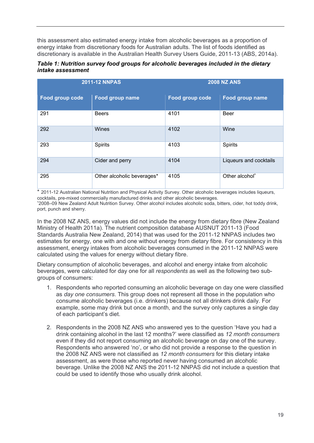this assessment also estimated energy intake from alcoholic beverages as a proportion of energy intake from discretionary foods for Australian adults. The list of foods identified as discretionary is available in the Australian Health Survey Users Guide, 2011-13 (ABS, 2014a).

<span id="page-21-0"></span>*Table 1: Nutrition survey food groups for alcoholic beverages included in the dietary intake assessment*

|                 | <b>2011-12 NNPAS</b>       | <b>2008 NZ ANS</b> |                            |  |  |
|-----------------|----------------------------|--------------------|----------------------------|--|--|
| Food group code | Food group name            | Food group code    | Food group name            |  |  |
| 291             | <b>Beers</b>               | 4101               | <b>Beer</b>                |  |  |
| 292             | Wines                      | 4102               | Wine                       |  |  |
| 293             | <b>Spirits</b>             | 4103               | Spirits                    |  |  |
| 294             | Cider and perry            | 4104               | Liqueurs and cocktails     |  |  |
| 295             | Other alcoholic beverages* | 4105               | Other alcohol <sup>^</sup> |  |  |

\* 2011-12 Australian National Nutrition and Physical Activity Survey. Other alcoholic beverages includes liqueurs, cocktails, pre-mixed commercially manufactured drinks and other alcoholic beverages. ^ 2008–09 New Zealand Adult Nutrition Survey. Other alcohol includes alcoholic soda, bitters, cider, hot toddy drink, port, punch and sherry.

In the 2008 NZ ANS, energy values did not include the energy from dietary fibre (New Zealand Ministry of Health 2011a). The nutrient composition database AUSNUT 2011-13 (Food Standards Australia New Zealand, 2014) that was used for the 2011-12 NNPAS includes two estimates for energy, one with and one without energy from dietary fibre. For consistency in this assessment, energy intakes from alcoholic beverages consumed in the 2011-12 NNPAS were calculated using the values for energy without dietary fibre.

Dietary consumption of alcoholic beverages, and alcohol and energy intake from alcoholic beverages, were calculated for day one for all *respondents* as well as the following two subgroups of consumers:

- 1. Respondents who reported consuming an alcoholic beverage on day one were classified as *day one consumers*. This group does not represent all those in the population who consume alcoholic beverages (i.e. drinkers) because not all drinkers drink daily. For example, some may drink but once a month, and the survey only captures a single day of each participant's diet.
- 2. Respondents in the 2008 NZ ANS who answered yes to the question 'Have you had a drink containing alcohol in the last 12 months?' were classified as *12 month consumers*  even if they did not report consuming an alcoholic beverage on day one of the survey. Respondents who answered 'no', or who did not provide a response to the question in the 2008 NZ ANS were not classified as *12 month consumers* for this dietary intake assessment, as were those who reported never having consumed an alcoholic beverage. Unlike the 2008 NZ ANS the 2011-12 NNPAS did not include a question that could be used to identify those who usually drink alcohol.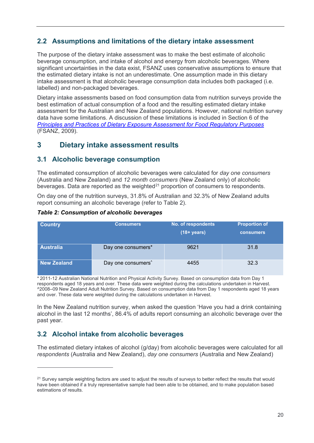### **2.2 Assumptions and limitations of the dietary intake assessment**

The purpose of the dietary intake assessment was to make the best estimate of alcoholic beverage consumption, and intake of alcohol and energy from alcoholic beverages. Where significant uncertainties in the data exist, FSANZ uses conservative assumptions to ensure that the estimated dietary intake is not an underestimate. One assumption made in this dietary intake assessment is that alcoholic beverage consumption data includes both packaged (i.e. labelled) and non-packaged beverages.

Dietary intake assessments based on food consumption data from nutrition surveys provide the best estimation of actual consumption of a food and the resulting estimated dietary intake assessment for the Australian and New Zealand populations. However, national nutrition survey data have some limitations. A discussion of these limitations is included in Section 6 of the *[Principles and Practices of Dietary Exposure Assessment for Food Regulatory Purposes](https://www.foodstandards.gov.au/publications/Pages/Principles-and-Practices-of-Dietary.aspx)* (FSANZ, 2009)*.*

# **3 Dietary intake assessment results**

### **3.1 Alcoholic beverage consumption**

The estimated consumption of alcoholic beverages were calculated for *day one consumers* (Australia and New Zealand) and *12 month consumers* (New Zealand only) of alcoholic beverages. Data are reported as the weighted $21$  proportion of consumers to respondents.

On day one of the nutrition surveys, 31.8% of Australian and 32.3% of New Zealand adults report consuming an alcoholic beverage (refer to [Table 2\)](#page-22-0).

<span id="page-22-0"></span>*Table 2: Consumption of alcoholic beverages* 

| <b>Country</b>     | <b>Consumers</b>               | No. of respondents<br>$(18 + years)$ | <b>Proportion of</b><br><b>consumers</b> |  |  |
|--------------------|--------------------------------|--------------------------------------|------------------------------------------|--|--|
| <b>Australia</b>   | Day one consumers*             | 9621                                 | 31.8                                     |  |  |
| <b>New Zealand</b> | Day one consumers <sup>^</sup> | 4455                                 | 32.3                                     |  |  |

\* 2011-12 Australian National Nutrition and Physical Activity Survey. Based on consumption data from Day 1 respondents aged 18 years and over. These data were weighted during the calculations undertaken in Harvest. ^2008–09 New Zealand Adult Nutrition Survey. Based on consumption data from Day 1 respondents aged 18 years and over. These data were weighted during the calculations undertaken in Harvest.

In the New Zealand nutrition survey, when asked the question 'Have you had a drink containing alcohol in the last 12 months', 86.4% of adults report consuming an alcoholic beverage over the past year.

## **3.2 Alcohol intake from alcoholic beverages**

 $\overline{a}$ 

The estimated dietary intakes of alcohol (g/day) from alcoholic beverages were calculated for all *respondents* (Australia and New Zealand), *day one consumers* (Australia and New Zealand)

<span id="page-22-1"></span><sup>&</sup>lt;sup>21</sup> Survey sample weighting factors are used to adjust the results of surveys to better reflect the results that would have been obtained if a truly representative sample had been able to be obtained, and to make population based estimations of results.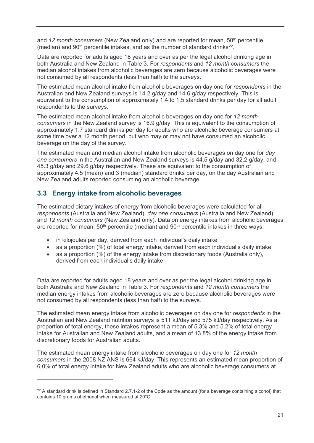and 12 month consumers (New Zealand only) and are reported for mean, 50<sup>th</sup> percentile (median) and  $90<sup>th</sup>$  percentile intakes, and as the number of standard drinks<sup>22</sup>.

Data are reported for adults aged 18 years and over as per the legal alcohol drinking age in both Australia and New Zealand in [Table 3.](#page-25-0) For *respondents* and *12 month consumers* the median alcohol intakes from alcoholic beverages are zero because alcoholic beverages were not consumed by all respondents (less than half) to the surveys.

The estimated mean alcohol intake from alcoholic beverages on day one for *respondents* in the Australian and New Zealand surveys is 14.2 g/day and 14.6 g/day respectively. This is equivalent to the consumption of approximately 1.4 to 1.5 standard drinks per day for all adult respondents to the surveys.

The estimated mean alcohol intake from alcoholic beverages on day one for *12 month consumers* in the New Zealand survey is 16.9 g/day. This is equivalent to the consumption of approximately 1.7 standard drinks per day for adults who are alcoholic beverage consumers at some time over a 12 month period, but who may or may not have consumed an alcoholic beverage on the day of the survey.

The estimated mean and median alcohol intake from alcoholic beverages on day one for *day one consumers* in the Australian and New Zealand surveys is 44.5 g/day and 32.2 g/day, and 45.3 g/day and 29.6 g/day respectively. These are equivalent to the consumption of approximately 4.5 (mean) and 3 (median) standard drinks per day, on the day Australian and New Zealand adults reported consuming an alcoholic beverage.

### **3.3 Energy intake from alcoholic beverages**

 $\overline{a}$ 

The estimated dietary intakes of energy from alcoholic beverages were calculated for all *respondents* (Australia and New Zealand), *day one consumers* (Australia and New Zealand), and *12 month consumers* (New Zealand only). Data on energy intakes from alcoholic beverages are reported for mean,  $50<sup>th</sup>$  percentile (median) and  $90<sup>th</sup>$  percentile intakes in three ways:

- in kilojoules per day, derived from each individual's daily intake
- as a proportion (%) of total energy intake, derived from each individual's daily intake
- as a proportion (%) of the energy intake from discretionary foods (Australia only). derived from each individual's daily intake.

Data are reported for adults aged 18 years and over as per the legal alcohol drinking age in both Australia and New Zealand in [Table 3.](#page-25-0) For *respondents* and *12 month consumers* the median energy intakes from alcoholic beverages are zero because alcoholic beverages were not consumed by all respondents (less than half) to the surveys.

The estimated mean energy intake from alcoholic beverages on day one for *respondents* in the Australian and New Zealand nutrition surveys is 511 kJ/day and 575 kJ/day respectively. As a proportion of total energy, these intakes represent a mean of 5.3% and 5.2% of total energy intake for Australian and New Zealand adults, and a mean of 13.8% of the energy intake from discretionary foods for Australian adults.

The estimated mean energy intake from alcoholic beverages on day one for *12 month consumers* in the 2008 NZ ANS is 664 kJ/day. This represents an estimated mean proportion of 6.0% of total energy intake for New Zealand adults who are alcoholic beverage consumers at

<span id="page-23-0"></span> $22$  A standard drink is defined in Standard 2.7.1-2 of the Code as the amount (for a beverage containing alcohol) that contains 10 grams of ethanol when measured at 20°C.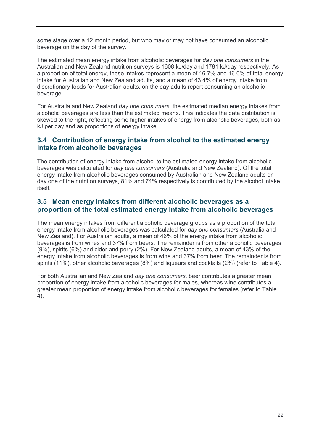some stage over a 12 month period, but who may or may not have consumed an alcoholic beverage on the day of the survey.

The estimated mean energy intake from alcoholic beverages for *day one consumers* in the Australian and New Zealand nutrition surveys is 1608 kJ/day and 1781 kJ/day respectively. As a proportion of total energy, these intakes represent a mean of 16.7% and 16.0% of total energy intake for Australian and New Zealand adults, and a mean of 43.4% of energy intake from discretionary foods for Australian adults, on the day adults report consuming an alcoholic beverage.

For Australia and New Zealand *day one consumers*, the estimated median energy intakes from alcoholic beverages are less than the estimated means. This indicates the data distribution is skewed to the right, reflecting some higher intakes of energy from alcoholic beverages, both as kJ per day and as proportions of energy intake.

### **3.4 Contribution of energy intake from alcohol to the estimated energy intake from alcoholic beverages**

The contribution of energy intake from alcohol to the estimated energy intake from alcoholic beverages was calculated for *day one consumers* (Australia and New Zealand). Of the total energy intake from alcoholic beverages consumed by Australian and New Zealand adults on day one of the nutrition surveys, 81% and 74% respectively is contributed by the alcohol intake itself.

### **3.5 Mean energy intakes from different alcoholic beverages as a proportion of the total estimated energy intake from alcoholic beverages**

The mean energy intakes from different alcoholic beverage groups as a proportion of the total energy intake from alcoholic beverages was calculated for *day one consumers* (Australia and New Zealand). For Australian adults, a mean of 46% of the energy intake from alcoholic beverages is from wines and 37% from beers. The remainder is from other alcoholic beverages (9%), spirits (6%) and cider and perry (2%). For New Zealand adults, a mean of 43% of the energy intake from alcoholic beverages is from wine and 37% from beer. The remainder is from spirits (11%), other alcoholic beverages (8%) and liqueurs and cocktails (2%) (refer to [Table 4\)](#page-26-0).

For both Australian and New Zealand *day one consumers*, beer contributes a greater mean proportion of energy intake from alcoholic beverages for males, whereas wine contributes a greater mean proportion of energy intake from alcoholic beverages for females (refer to [Table](#page-26-0)  [4\)](#page-26-0).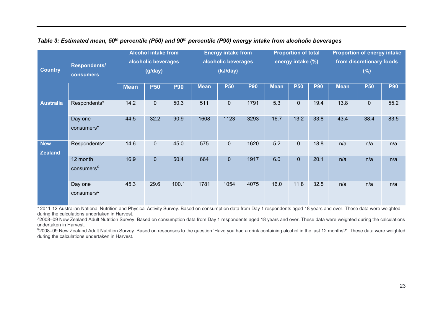|                              |                                   | <b>Alcohol intake from</b> |                     | <b>Energy intake from</b> |                     | <b>Proportion of total</b> |                   | <b>Proportion of energy intake</b> |              |                          |             |             |            |
|------------------------------|-----------------------------------|----------------------------|---------------------|---------------------------|---------------------|----------------------------|-------------------|------------------------------------|--------------|--------------------------|-------------|-------------|------------|
|                              | Respondents/                      |                            | alcoholic beverages |                           | alcoholic beverages |                            | energy intake (%) |                                    |              | from discretionary foods |             |             |            |
| <b>Country</b>               | <b>consumers</b>                  | (g/day)                    |                     | (kJ/day)                  |                     |                            |                   |                                    | (%)          |                          |             |             |            |
|                              |                                   | <b>Mean</b>                | <b>P50</b>          | <b>P90</b>                | <b>Mean</b>         | <b>P50</b>                 | <b>P90</b>        | <b>Mean</b>                        | <b>P50</b>   | <b>P90</b>               | <b>Mean</b> | <b>P50</b>  | <b>P90</b> |
| <b>Australia</b>             | Respondents*                      | 14.2                       | $\mathbf 0$         | 50.3                      | 511                 | $\overline{0}$             | 1791              | 5.3                                | $\pmb{0}$    | 19.4                     | 13.8        | $\mathbf 0$ | 55.2       |
|                              | Day one<br>consumers*             | 44.5                       | 32.2                | 90.9                      | 1608                | 1123                       | 3293              | 16.7                               | 13.2         | 33.8                     | 43.4        | 38.4        | 83.5       |
| <b>New</b><br><b>Zealand</b> | Respondents <sup>^</sup>          | 14.6                       | $\mathbf 0$         | 45.0                      | 575                 | 0                          | 1620              | 5.2                                | $\pmb{0}$    | 18.8                     | n/a         | n/a         | n/a        |
|                              | 12 month<br>consumers¥            | 16.9                       | $\mathbf 0$         | 50.4                      | 664                 | $\overline{0}$             | 1917              | 6.0                                | $\mathbf{0}$ | 20.1                     | n/a         | n/a         | n/a        |
|                              | Day one<br>consumers <sup>^</sup> | 45.3                       | 29.6                | 100.1                     | 1781                | 1054                       | 4075              | 16.0                               | 11.8         | 32.5                     | n/a         | n/a         | n/a        |

#### *Table 3: Estimated mean, 50th percentile (P50) and 90th percentile (P90) energy intake from alcoholic beverages*

<span id="page-25-0"></span>\* 2011-12 Australian National Nutrition and Physical Activity Survey. Based on consumption data from Day 1 respondents aged 18 years and over. These data were weighted during the calculations undertaken in Harvest.

^2008–09 New Zealand Adult Nutrition Survey. Based on consumption data from Day 1 respondents aged 18 years and over. These data were weighted during the calculations undertaken in Harvest.

¥2008–09 New Zealand Adult Nutrition Survey. Based on responses to the question 'Have you had a drink containing alcohol in the last 12 months?'. These data were weighted during the calculations undertaken in Harvest.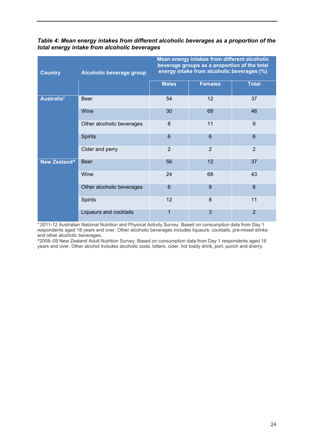| <b>Country</b>           | Alcoholic beverage group  | Mean energy intakes from different alcoholic<br>beverage groups as a proportion of the total<br>energy intake from alcoholic beverages (%) |                |                |  |  |
|--------------------------|---------------------------|--------------------------------------------------------------------------------------------------------------------------------------------|----------------|----------------|--|--|
|                          |                           | <b>Males</b>                                                                                                                               | <b>Females</b> | <b>Total</b>   |  |  |
| Australia*               | <b>Beer</b>               | 54                                                                                                                                         | 12             | 37             |  |  |
|                          | Wine                      | 30                                                                                                                                         | 69             | 46             |  |  |
|                          | Other alcoholic beverages | 8                                                                                                                                          | 11             | 9              |  |  |
|                          | <b>Spirits</b>            | 6                                                                                                                                          | 6              | 6              |  |  |
|                          | Cider and perry           | $\overline{2}$                                                                                                                             | $\overline{2}$ | $\overline{2}$ |  |  |
| New Zealand <sup>^</sup> | <b>Beer</b>               | 56                                                                                                                                         | 12             | 37             |  |  |
|                          | Wine                      | 24                                                                                                                                         | 68             | 43             |  |  |
|                          | Other alcoholic beverages | 6                                                                                                                                          | 9              | 8              |  |  |
|                          | <b>Spirits</b>            | 12                                                                                                                                         | 8              | 11             |  |  |
|                          | Liqueurs and cocktails    | 1                                                                                                                                          | 3              | $\overline{2}$ |  |  |

<span id="page-26-0"></span>*Table 4: Mean energy intakes from different alcoholic beverages as a proportion of the total energy intake from alcoholic beverages*

\* 2011-12 Australian National Nutrition and Physical Activity Survey. Based on consumption data from Day 1 respondents aged 18 years and over. Other alcoholic beverages includes liqueurs, cocktails, pre-mixed drinks and other alcoholic beverages.

^2008–09 New Zealand Adult Nutrition Survey. Based on consumption data from Day 1 respondents aged 18 years and over. Other alcohol includes alcoholic soda, bitters, cider, hot toddy drink, port, punch and sherry.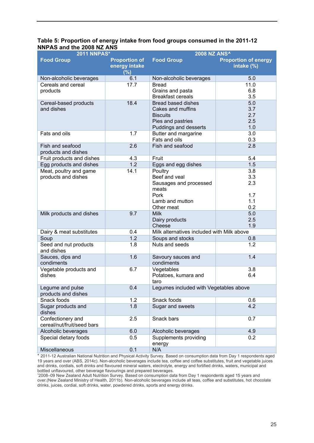#### <span id="page-27-0"></span>**Table 5: Proportion of energy intake from food groups consumed in the 2011-12 NNPAS and the 2008 NZ ANS**

| <b>2011 NNPAS*</b>                              |                                              | <b>2008 NZ ANS^</b>                        |                                           |  |  |
|-------------------------------------------------|----------------------------------------------|--------------------------------------------|-------------------------------------------|--|--|
| <b>Food Group</b>                               | <b>Proportion of</b><br>energy intake<br>(%) | <b>Food Group</b>                          | <b>Proportion of energy</b><br>intake (%) |  |  |
| Non-alcoholic beverages                         | 6.1                                          | Non-alcoholic beverages                    | 5.0                                       |  |  |
| Cereals and cereal                              | 17.7                                         | <b>Bread</b>                               | 11.0                                      |  |  |
| products                                        |                                              | Grains and pasta                           | 6.8                                       |  |  |
|                                                 |                                              | <b>Breakfast cereals</b>                   | 3.5                                       |  |  |
| Cereal-based products                           | 18.4                                         | <b>Bread based dishes</b>                  | 5.0                                       |  |  |
| and dishes                                      |                                              | Cakes and muffins                          | 3.7                                       |  |  |
|                                                 |                                              | <b>Biscuits</b>                            | 2.7                                       |  |  |
|                                                 |                                              | Pies and pastries                          | 2.5                                       |  |  |
|                                                 |                                              | Puddings and desserts                      | 1.0                                       |  |  |
| Fats and oils                                   | 1.7                                          | Butter and margarine                       | 3.0                                       |  |  |
|                                                 |                                              | Fats and oils                              | 0.3                                       |  |  |
| Fish and seafood<br>products and dishes         | 2.6                                          | Fish and seafood                           | 2.8                                       |  |  |
| Fruit products and dishes                       | 4.3                                          | Fruit                                      | 5.4                                       |  |  |
| Egg products and dishes                         | 1.2                                          | Eggs and egg dishes                        | 1.5                                       |  |  |
| Meat, poultry and game                          | 14.1                                         | Poultry                                    | 3.8                                       |  |  |
| products and dishes                             |                                              | Beef and veal                              | 3.3                                       |  |  |
|                                                 |                                              | Sausages and processed                     | 2.3                                       |  |  |
|                                                 |                                              | meats                                      |                                           |  |  |
|                                                 |                                              | Pork                                       | 1.7                                       |  |  |
|                                                 |                                              | Lamb and mutton                            | 1.1                                       |  |  |
|                                                 |                                              | Other meat                                 | 0.2                                       |  |  |
| Milk products and dishes                        | 9.7                                          | <b>Milk</b>                                | 5.0                                       |  |  |
|                                                 |                                              | Dairy products                             | 2.5                                       |  |  |
|                                                 |                                              | Cheese                                     | 1.9                                       |  |  |
| Dairy & meat substitutes                        | 0.4                                          | Milk alternatives included with Milk above |                                           |  |  |
| Soup                                            | 1.2                                          | Soups and stocks                           | 0.8                                       |  |  |
| Seed and nut products<br>and dishes             | 1.8                                          | Nuts and seeds                             | 1.2                                       |  |  |
| Sauces, dips and                                | 1.6                                          | Savoury sauces and                         | 1.4                                       |  |  |
| condiments                                      |                                              | condiments                                 |                                           |  |  |
| Vegetable products and                          | 6.7                                          | Vegetables                                 | 3.8                                       |  |  |
| dishes                                          |                                              | Potatoes, kumara and                       | 6.4                                       |  |  |
|                                                 |                                              | taro                                       |                                           |  |  |
| Legume and pulse                                | 0.4                                          | Legumes included with Vegetables above     |                                           |  |  |
| products and dishes                             |                                              |                                            |                                           |  |  |
| Snack foods                                     | 1.2                                          | Snack foods                                | 0.6                                       |  |  |
| Sugar products and                              | 1.8                                          | Sugar and sweets                           | 4.2                                       |  |  |
| dishes                                          |                                              |                                            |                                           |  |  |
| Confectionery and<br>cereal/nut/fruit/seed bars | 2.5                                          | Snack bars                                 | 0.7                                       |  |  |
| Alcoholic beverages                             | 6.0                                          | Alcoholic beverages                        | 4.9                                       |  |  |
| Special dietary foods                           | 0.5                                          | Supplements providing<br>energy            | 0.2                                       |  |  |
| <b>Miscellaneous</b>                            | 0.1                                          | N/A                                        |                                           |  |  |
|                                                 |                                              |                                            |                                           |  |  |

\* 2011-12 Australian National Nutrition and Physical Activity Survey. Based on consumption data from Day 1 respondents aged 19 years and over (ABS, 2014c). Non-alcoholic beverages include tea, coffee and coffee substitutes, fruit and vegetable juices and drinks, cordials, soft drinks and flavoured mineral waters, electrolyte, energy and fortified drinks, waters, municipal and bottled unflavoured, other beverage flavourings and prepared beverages.

^ 2008–09 New Zealand Adult Nutrition Survey. Based on consumption data from Day 1 respondents aged 15 years and over.(New Zealand Ministry of Health, 2011b). Non-alcoholic beverages include all teas, coffee and substitutes, hot chocolate drinks, juices, cordial, soft drinks, water, powdered drinks, sports and energy drinks.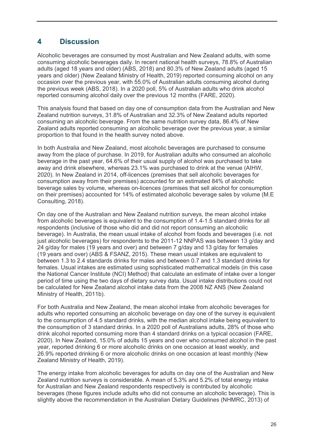# **4 Discussion**

Alcoholic beverages are consumed by most Australian and New Zealand adults, with some consuming alcoholic beverages daily. In recent national health surveys, 78.8% of Australian adults (aged 18 years and older) (ABS, 2018) and 80.3% of New Zealand adults (aged 15 years and older) (New Zealand Ministry of Health, 2019) reported consuming alcohol on any occasion over the previous year, with 55.0% of Australian adults consuming alcohol during the previous week (ABS, 2018). In a 2020 poll, 5% of Australian adults who drink alcohol reported consuming alcohol daily over the previous 12 months (FARE, 2020).

This analysis found that based on day one of consumption data from the Australian and New Zealand nutrition surveys, 31.8% of Australian and 32.3% of New Zealand adults reported consuming an alcoholic beverage. From the same nutrition survey data, 86.4% of New Zealand adults reported consuming an alcoholic beverage over the previous year, a similar proportion to that found in the health survey noted above.

In both Australia and New Zealand, most alcoholic beverages are purchased to consume away from the place of purchase. In 2019, for Australian adults who consumed an alcoholic beverage in the past year, 64.6% of their usual supply of alcohol was purchased to take away and drink elsewhere, whereas 23.1% was purchased to drink at the venue (AIHW, 2020). In New Zealand in 2014, off-licences (premises that sell alcoholic beverages for consumption away from their premises) accounted for an estimated 84% of alcoholic beverage sales by volume, whereas on-licences (premises that sell alcohol for consumption on their premises) accounted for 14% of estimated alcoholic beverage sales by volume (M.E Consulting, 2018).

On day one of the Australian and New Zealand nutrition surveys, the mean alcohol intake from alcoholic beverages is equivalent to the consumption of 1.4-1.5 standard drinks for all respondents (inclusive of those who did and did not report consuming an alcoholic beverage). In Australia, the mean usual intake of alcohol from foods and beverages (i.e. not just alcoholic beverages) for respondents to the 2011-12 NNPAS was between 13 g/day and 24 g/day for males (19 years and over) and between 7 g/day and 13 g/day for females (19 years and over) (ABS & FSANZ, 2015). These mean usual intakes are equivalent to between 1.3 to 2.4 standards drinks for males and between 0.7 and 1.3 standard drinks for females. Usual intakes are estimated using sophisticated mathematical models (in this case the National Cancer Institute (NCI) Method) that calculate an estimate of intake over a longer period of time using the two days of dietary survey data. Usual intake distributions could not be calculated for New Zealand alcohol intake data from the 2008 NZ ANS (New Zealand Ministry of Health, 2011b).

For both Australia and New Zealand, the mean alcohol intake from alcoholic beverages for adults who reported consuming an alcoholic beverage on day one of the survey is equivalent to the consumption of 4.5 standard drinks, with the median alcohol intake being equivalent to the consumption of 3 standard drinks. In a 2020 poll of Australians adults, 28% of those who drink alcohol reported consuming more than 4 standard drinks on a typical occasion (FARE, 2020). In New Zealand, 15.0% of adults 15 years and over who consumed alcohol in the past year, reported drinking 6 or more alcoholic drinks on one occasion at least weekly, and 26.9% reported drinking 6 or more alcoholic drinks on one occasion at least monthly (New Zealand Ministry of Health, 2019).

The energy intake from alcoholic beverages for adults on day one of the Australian and New Zealand nutrition surveys is considerable. A mean of 5.3% and 5.2% of total energy intake for Australian and New Zealand respondents respectively is contributed by alcoholic beverages (these figures include adults who did not consume an alcoholic beverage). This is slightly above the recommendation in the Australian Dietary Guidelines (NHMRC, 2013) of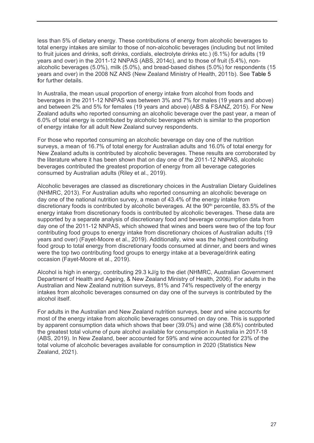less than 5% of dietary energy. These contributions of energy from alcoholic beverages to total energy intakes are similar to those of non-alcoholic beverages (including but not limited to fruit juices and drinks, soft drinks, cordials, electrolyte drinks etc.) (6.1%) for adults (19 years and over) in the 2011-12 NNPAS (ABS, 2014c), and to those of fruit (5.4%), nonalcoholic beverages (5.0%), milk (5.0%), and bread-based dishes (5.0%) for respondents (15 years and over) in the 2008 NZ ANS (New Zealand Ministry of Health, 2011b). See [Table 5](#page-27-0) **f**or further details.

In Australia, the mean usual proportion of energy intake from alcohol from foods and beverages in the 2011-12 NNPAS was between 3% and 7% for males (19 years and above) and between 2% and 5% for females (19 years and above) (ABS & FSANZ, 2015). For New Zealand adults who reported consuming an alcoholic beverage over the past year, a mean of 6.0% of total energy is contributed by alcoholic beverages which is similar to the proportion of energy intake for all adult New Zealand survey respondents.

For those who reported consuming an alcoholic beverage on day one of the nutrition surveys, a mean of 16.7% of total energy for Australian adults and 16.0% of total energy for New Zealand adults is contributed by alcoholic beverages. These results are corroborated by the literature where it has been shown that on day one of the 2011-12 NNPAS, alcoholic beverages contributed the greatest proportion of energy from all beverage categories consumed by Australian adults (Riley et al., 2019).

Alcoholic beverages are classed as discretionary choices in the Australian Dietary Guidelines (NHMRC, 2013). For Australian adults who reported consuming an alcoholic beverage on day one of the national nutrition survey, a mean of 43.4% of the energy intake from discretionary foods is contributed by alcoholic beverages. At the  $90<sup>th</sup>$  percentile, 83.5% of the energy intake from discretionary foods is contributed by alcoholic beverages. These data are supported by a separate analysis of discretionary food and beverage consumption data from day one of the 2011-12 NNPAS, which showed that wines and beers were two of the top four contributing food groups to energy intake from discretionary choices of Australian adults (19 years and over) (Fayet-Moore et al., 2019). Additionally, wine was the highest contributing food group to total energy from discretionary foods consumed at dinner, and beers and wines were the top two contributing food groups to energy intake at a beverage/drink eating occasion (Fayet-Moore et al., 2019).

Alcohol is high in energy, contributing 29.3 kJ/g to the diet (NHMRC, Australian Government Department of Health and Ageing, & New Zealand Ministry of Health, 2006). For adults in the Australian and New Zealand nutrition surveys, 81% and 74% respectively of the energy intakes from alcoholic beverages consumed on day one of the surveys is contributed by the alcohol itself.

For adults in the Australian and New Zealand nutrition surveys, beer and wine accounts for most of the energy intake from alcoholic beverages consumed on day one. This is supported by apparent consumption data which shows that beer (39.0%) and wine (38.6%) contributed the greatest total volume of pure alcohol available for consumption in Australia in 2017-18 (ABS, 2019). In New Zealand, beer accounted for 59% and wine accounted for 23% of the total volume of alcoholic beverages available for consumption in 2020 (Statistics New Zealand, 2021).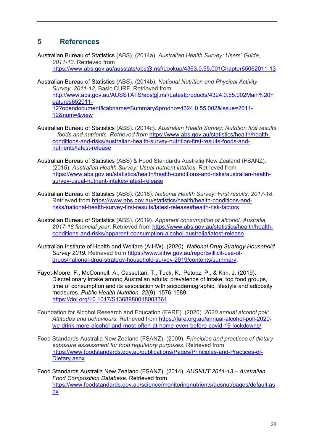# **5 References**

Australian Bureau of Statistics (ABS). (2014a). *Australian Health Survey: Users' Guide, 2011-13*. Retrieved from

<https://www.abs.gov.au/ausstats/abs@.nsf/Lookup/4363.0.55.001Chapter65062011-13>

- Australian Bureau of Statistics (ABS). (2014b). *National Nutrition and Physical Activity Survey, 2011-12*, Basic CURF. Retrieved from [http://www.abs.gov.au/AUSSTATS/abs@.nsf/Latestproducts/4324.0.55.002Main%20F](http://www.abs.gov.au/AUSSTATS/abs@.nsf/Latestproducts/4324.0.55.002Main%20Features652011-12?opendocument&tabname=Summary&prodno=4324.0.55.002&issue=2011-12&num=&view) [eatures652011-](http://www.abs.gov.au/AUSSTATS/abs@.nsf/Latestproducts/4324.0.55.002Main%20Features652011-12?opendocument&tabname=Summary&prodno=4324.0.55.002&issue=2011-12&num=&view) [12?opendocument&tabname=Summary&prodno=4324.0.55.002&issue=2011-](http://www.abs.gov.au/AUSSTATS/abs@.nsf/Latestproducts/4324.0.55.002Main%20Features652011-12?opendocument&tabname=Summary&prodno=4324.0.55.002&issue=2011-12&num=&view) [12&num=&view](http://www.abs.gov.au/AUSSTATS/abs@.nsf/Latestproducts/4324.0.55.002Main%20Features652011-12?opendocument&tabname=Summary&prodno=4324.0.55.002&issue=2011-12&num=&view)
- Australian Bureau of Statistics (ABS). (2014c). *Australian Health Survey: Nutrition first results – foods and nutrients. Retrieved from* [https://www.abs.gov.au/statistics/health/health](https://www.abs.gov.au/statistics/health/health-conditions-and-risks/australian-health-survey-nutrition-first-results-foods-and-nutrients/latest-release)[conditions-and-risks/australian-health-survey-nutrition-first-results-foods-and](https://www.abs.gov.au/statistics/health/health-conditions-and-risks/australian-health-survey-nutrition-first-results-foods-and-nutrients/latest-release)[nutrients/latest-release](https://www.abs.gov.au/statistics/health/health-conditions-and-risks/australian-health-survey-nutrition-first-results-foods-and-nutrients/latest-release)
- Australian Bureau of Statistics (ABS) & Food Standards Australia New Zealand (FSANZ). (2015). *Australian Health Survey: Usual nutrient intakes*. Retrieved from [https://www.abs.gov.au/statistics/health/health-conditions-and-risks/australian-health](https://www.abs.gov.au/statistics/health/health-conditions-and-risks/australian-health-survey-usual-nutrient-intakes/latest-release)[survey-usual-nutrient-intakes/latest-release](https://www.abs.gov.au/statistics/health/health-conditions-and-risks/australian-health-survey-usual-nutrient-intakes/latest-release)
- Australian Bureau of Statistics (ABS). (2018). *National Health Survey: First results, 2017-18*. Retrieved from [https://www.abs.gov.au/statistics/health/health-conditions-and](https://www.abs.gov.au/statistics/health/health-conditions-and-risks/national-health-survey-first-results/latest-release#health-risk-factors)[risks/national-health-survey-first-results/latest-release#health-risk-factors](https://www.abs.gov.au/statistics/health/health-conditions-and-risks/national-health-survey-first-results/latest-release#health-risk-factors)
- Australian Bureau of Statistics (ABS). (2019). *Apparent consumption of alcohol, Australia, 2017-18 financial year*. Retrieved from [https://www.abs.gov.au/statistics/health/health](https://www.abs.gov.au/statistics/health/health-conditions-and-risks/apparent-consumption-alcohol-australia/latest-release)[conditions-and-risks/apparent-consumption-alcohol-australia/latest-release.](https://www.abs.gov.au/statistics/health/health-conditions-and-risks/apparent-consumption-alcohol-australia/latest-release)
- Australian Institute of Health and Welfare (AIHW). (2020). *National Drug Strategy Household Survey 2019*. Retrieved from [https://www.aihw.gov.au/reports/illicit-use-of](https://www.aihw.gov.au/reports/illicit-use-of-drugs/national-drug-strategy-household-survey-2019/contents/summary)[drugs/national-drug-strategy-household-survey-2019/contents/summary.](https://www.aihw.gov.au/reports/illicit-use-of-drugs/national-drug-strategy-household-survey-2019/contents/summary)
- Fayet-Moore, F., McConnell, A., Cassettari, T., Tuck, K., Petocz, P., & Kim, J. (2019). Discretionary intake among Australian adults: prevalence of intake, top food groups, time of consumption and its association with sociodemographic, lifestyle and adiposity measures. *Public Health Nutrition, 22*(9), 1576-1589. <https://doi.org/10.1017/S1368980018003361>
- Foundation for Alcohol Research and Education (FARE). (2020). *2020 annual alcohol poll: Attitudes and behaviours*. Retrieved from [https://fare.org.au/annual-alcohol-poll-2020](https://fare.org.au/annual-alcohol-poll-2020-we-drink-more-alcohol-and-most-often-at-home-even-before-covid-19-lockdowns/) [we-drink-more-alcohol-and-most-often-at-home-even-before-covid-19-lockdowns/](https://fare.org.au/annual-alcohol-poll-2020-we-drink-more-alcohol-and-most-often-at-home-even-before-covid-19-lockdowns/)
- Food Standards Australia New Zealand (FSANZ). (2009). *Principles and practices of dietary exposure assessment for food regulatory purposes*. Retrieved from [https://www.foodstandards.gov.au/publications/Pages/Principles-and-Practices-of-](https://www.foodstandards.gov.au/publications/Pages/Principles-and-Practices-of-Dietary.aspx)[Dietary.aspx](https://www.foodstandards.gov.au/publications/Pages/Principles-and-Practices-of-Dietary.aspx)
- Food Standards Australia New Zealand (FSANZ). (2014). *AUSNUT 2011-13 – Australian Food Composition Database*. Retrieved from https://www.foodstandards.gov.au/science/monitoringnutrients/ausnut/pages/default.as px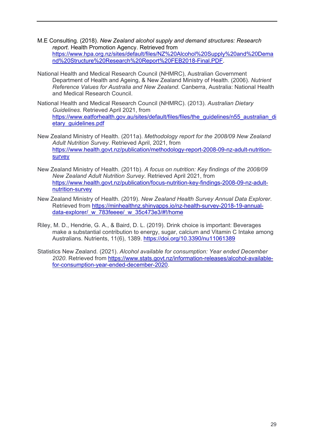- M.E Consulting. (2018). *New Zealand alcohol supply and demand structures: Research report*. Health Promotion Agency. Retrieved from [https://www.hpa.org.nz/sites/default/files/NZ%20Alcohol%20Supply%20and%20Dema](https://www.hpa.org.nz/sites/default/files/NZ%20Alcohol%20Supply%20and%20Demand%20Structure%20Research%20Report%20FEB2018-Final.PDF) [nd%20Structure%20Research%20Report%20FEB2018-Final.PDF.](https://www.hpa.org.nz/sites/default/files/NZ%20Alcohol%20Supply%20and%20Demand%20Structure%20Research%20Report%20FEB2018-Final.PDF)
- National Health and Medical Research Council (NHMRC), Australian Government Department of Health and Ageing, & New Zealand Ministry of Health. (2006). *Nutrient Reference Values for Australia and New Zealand*. Canberra, Australia: National Health and Medical Research Council.
- National Health and Medical Research Council (NHMRC). (2013). *Australian Dietary Guidelines*. Retrieved April 2021, from [https://www.eatforhealth.gov.au/sites/default/files/files/the\\_guidelines/n55\\_australian\\_di](https://www.eatforhealth.gov.au/sites/default/files/files/the_guidelines/n55_australian_dietary_guidelines.pdf) [etary\\_guidelines.pdf](https://www.eatforhealth.gov.au/sites/default/files/files/the_guidelines/n55_australian_dietary_guidelines.pdf)
- New Zealand Ministry of Health. (2011a). *Methodology report for the 2008/09 New Zealand Adult Nutrition Survey*. Retrieved April, 2021, from [https://www.health.govt.nz/publication/methodology-report-2008-09-nz-adult-nutrition](https://www.health.govt.nz/publication/methodology-report-2008-09-nz-adult-nutrition-survey)[survey](https://www.health.govt.nz/publication/methodology-report-2008-09-nz-adult-nutrition-survey)
- New Zealand Ministry of Health. (2011b). *A focus on nutrition: Key findings of the 2008/09 New Zealand Adult Nutrition Survey*. Retrieved April 2021, from [https://www.health.govt.nz/publication/focus-nutrition-key-findings-2008-09-nz-adult](https://www.health.govt.nz/publication/focus-nutrition-key-findings-2008-09-nz-adult-nutrition-survey)[nutrition-survey](https://www.health.govt.nz/publication/focus-nutrition-key-findings-2008-09-nz-adult-nutrition-survey)
- New Zealand Ministry of Health. (2019). *New Zealand Health Survey Annual Data Explorer*. Retrieved from [https://minhealthnz.shinyapps.io/nz-health-survey-2018-19-annual](https://minhealthnz.shinyapps.io/nz-health-survey-2018-19-annual-data-explorer/_w_783feeee/_w_35c473e3/#!/home)data-explorer/ w 783feeee/ w 35c473e3/#!/home
- Riley, M. D., Hendrie, G. A., & Baird, D. L. (2019). Drink choice is important: Beverages make a substantial contribution to energy, sugar, calcium and Vitamin C Intake among Australians. Nutrients, 11(6), 1389.<https://doi.org/10.3390/nu11061389>
- Statistics New Zealand. (2021). *Alcohol available for consumption: Year ended December 2020*. Retrieved from [https://www.stats.govt.nz/information-releases/alcohol-available](https://www.stats.govt.nz/information-releases/alcohol-available-for-consumption-year-ended-december-2020)[for-consumption-year-ended-december-2020.](https://www.stats.govt.nz/information-releases/alcohol-available-for-consumption-year-ended-december-2020)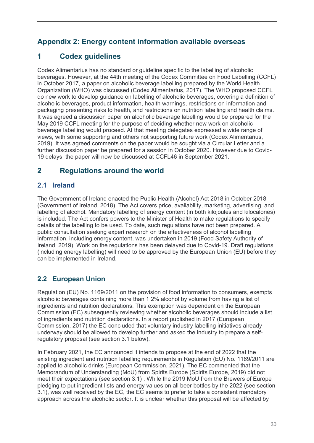# <span id="page-32-0"></span>**Appendix 2: Energy content information available overseas**

# **1 Codex guidelines**

Codex Alimentarius has no standard or guideline specific to the labelling of alcoholic beverages. However, at the 44th meeting of the Codex Committee on Food Labelling (CCFL) in October 2017, a paper on alcoholic beverage labelling prepared by the World Health Organization (WHO) was discussed (Codex Alimentarius, 2017). The WHO proposed CCFL do new work to develop guidance on labelling of alcoholic beverages, covering a definition of alcoholic beverages, product information, health warnings, restrictions on information and packaging presenting risks to health, and restrictions on nutrition labelling and health claims. It was agreed a discussion paper on alcoholic beverage labelling would be prepared for the May 2019 CCFL meeting for the purpose of deciding whether new work on alcoholic beverage labelling would proceed. At that meeting delegates expressed a wide range of views, with some supporting and others not supporting future work (Codex Alimentarius, 2019). It was agreed comments on the paper would be sought via a Circular Letter and a further discussion paper be prepared for a session in October 2020. However due to Covid-19 delays, the paper will now be discussed at CCFL46 in September 2021.

# **2 Regulations around the world**

## **2.1 Ireland**

The Government of Ireland enacted the Public Health (Alcohol) Act 2018 in October 2018 (Government of Ireland, 2018). The Act covers price, availability, marketing, advertising, and labelling of alcohol. Mandatory labelling of energy content (in both kilojoules and kilocalories) is included. The Act confers powers to the Minister of Health to make regulations to specify details of the labelling to be used. To date, such regulations have not been prepared. A public consultation seeking expert research on the effectiveness of alcohol labelling information, including energy content, was undertaken in 2019 (Food Safety Authority of Ireland, 2019). Work on the regulations has been delayed due to Covid-19. Draft regulations (including energy labelling) will need to be approved by the European Union (EU) before they can be implemented in Ireland.

# **2.2 European Union**

Regulation (EU) No. 1169/2011 on the provision of food information to consumers, exempts alcoholic beverages containing more than 1.2% alcohol by volume from having a list of ingredients and nutrition declarations. This exemption was dependent on the European Commission (EC) subsequently reviewing whether alcoholic beverages should include a list of ingredients and nutrition declarations. In a report published in 2017 (European Commission, 2017) the EC concluded that voluntary industry labelling initiatives already underway should be allowed to develop further and asked the industry to prepare a selfregulatory proposal (see section 3.1 below).

In February 2021, the EC announced it intends to propose at the end of 2022 that the existing ingredient and nutrition labelling requirements in Regulation (EU) No. 1169/2011 are applied to alcoholic drinks (European Commission, 2021). The EC commented that the Memorandum of Understanding (MoU) from Spirits Europe (Spirits Europe, 2019) did not meet their expectations (see section 3.1) . While the 2019 MoU from the Brewers of Europe pledging to put ingredient lists and energy values on all beer bottles by the 2022 (see section 3.1), was well received by the EC, the EC seems to prefer to take a consistent mandatory approach across the alcoholic sector. It is unclear whether this proposal will be affected by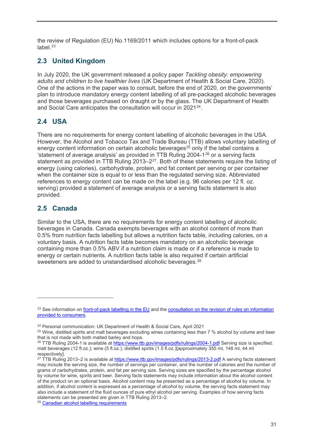the review of Regulation (EU) No.1169/2011 which includes options for a front-of-pack label $23$ 

### **2.3 United Kingdom**

In July 2020, the UK government released a policy paper *Tackling obesity: empowering adults and children to live healthier lives* (UK Department of Health & Social Care, 2020)*.*  One of the actions in the paper was to consult, before the end of 2020, on the governments' plan to introduce mandatory energy content labelling of all pre-packaged alcoholic beverages and those beverages purchased on draught or by the glass. The UK Department of Health and Social Care anticipates the consultation will occur in 2021[24.](#page-33-1)

## **2.4 USA**

There are no requirements for energy content labelling of alcoholic beverages in the USA. However, the Alcohol and Tobacco Tax and Trade Bureau (TTB) allows voluntary labelling of energy content information on certain alcoholic beverages<sup>[25](#page-33-2)</sup> only if the label contains a 'statement of average analysis' as provided in TTB Ruling 2004-1[26](#page-33-3) or a serving facts statement as provided in TTB Ruling 2013–2<sup>27</sup>. Both of these statements require the listing of energy (using calories), carbohydrate, protein, and fat content per serving or per container when the container size is equal to or less than the regulated serving size. Abbreviated references to energy content can be made on the label (e.g. 96 calories per 12 fl. oz. serving) provided a statement of average analysis or a serving facts statement is also provided.

### **2.5 Canada**

 $\overline{a}$ 

Similar to the USA, there are no requirements for energy content labelling of alcoholic beverages in Canada. Canada exempts beverages with an alcohol content of more than 0.5% from nutrition facts labelling but allows a nutrition facts table, including calories, on a voluntary basis. A nutrition facts table becomes mandatory on an alcoholic beverage containing more than 0.5% ABV if a nutrition claim is made or if a reference is made to energy or certain nutrients. A nutrition facts table is also required if certain artificial sweeteners are added to unstandardised alcoholic beverages.<sup>[28](#page-33-5)</sup>

<span id="page-33-0"></span><sup>&</sup>lt;sup>23</sup> See information on [front-of-pack labelling in the EU](https://ec.europa.eu/food/safety/labelling_nutrition/labelling_legislation/nutrition-labelling_en) and the consultation on the revision of rules on information [provided to consumers.](https://ec.europa.eu/info/law/better-regulation/have-your-say/initiatives/12749-Revision-of-food-information-to-consumers-)

<span id="page-33-1"></span><sup>24</sup> Personal communication: UK Department of Health & Social Care, April 2021

<span id="page-33-2"></span><sup>&</sup>lt;sup>25</sup> Wine, distilled spirits and malt beverages excluding wines containing less than 7 % alcohol by volume and beer that is not made with both malted barley and hops.

<span id="page-33-3"></span><sup>&</sup>lt;sup>26</sup> TTB Ruling 2004-1 is available at<https://www.ttb.gov/images/pdfs/rulings/2004-1.pdf> Serving size is specified: malt beverages (12 fl.oz.); wine (5 fl.oz.); distilled spirits (1.5 fl.oz.)[approximately 355 ml, 148 ml, 44 ml respectively].

<span id="page-33-4"></span><sup>&</sup>lt;sup>27</sup> TTB Ruling 2013–2 is available at<https://www.ttb.gov/images/pdfs/rulings/2013-2.pdf> A serving facts statement may include the serving size, the number of servings per container, and the number of calories and the number of grams of carbohydrates, protein, and fat per serving size. Serving sizes are specified by the percentage alcohol by volume for wine, spirits and beer. Serving facts statements may include information about the alcohol content of the product on an optional basis. Alcohol content may be presented as a percentage of alcohol by volume. In addition, if alcohol content is expressed as a percentage of alcohol by volume, the serving facts statement may also include a statement of the fluid ounces of pure ethyl alcohol per serving. Examples of how serving facts statements can be presented are given in TTB Ruling 2013–2.

<span id="page-33-5"></span><sup>28</sup> [Canadian alcohol labelling requirements](https://inspection.canada.ca/food-label-requirements/labelling/industry/alcohol/eng/1392909001375/1392909133296?chap=0#c5)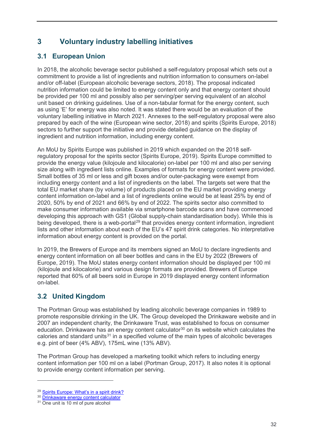# **3 Voluntary industry labelling initiatives**

## **3.1 European Union**

In 2018, the alcoholic beverage sector published a self-regulatory proposal which sets out a commitment to provide a list of ingredients and nutrition information to consumers on-label and/or off-label (European alcoholic beverage sectors, 2018). The proposal indicated nutrition information could be limited to energy content only and that energy content should be provided per 100 ml and possibly also per serving/per serving equivalent of an alcohol unit based on drinking guidelines. Use of a non-tabular format for the energy content, such as using 'E' for energy was also noted. It was stated there would be an evaluation of the voluntary labelling initiative in March 2021. Annexes to the self-regulatory proposal were also prepared by each of the wine (European wine sector, 2018) and spirits (Spirits Europe, 2018) sectors to further support the initiative and provide detailed guidance on the display of ingredient and nutrition information, including energy content.

An MoU by Spirits Europe was published in 2019 which expanded on the 2018 selfregulatory proposal for the spirits sector (Spirits Europe, 2019). Spirits Europe committed to provide the energy value (kilojoule and kilocalorie) on-label per 100 ml and also per serving size along with ingredient lists online. Examples of formats for energy content were provided. Small bottles of 35 ml or less and gift boxes and/or outer-packaging were exempt from including energy content and a list of ingredients on the label. The targets set were that the total EU market share (by volume) of products placed on the EU market providing energy content information on-label and a list of ingredients online would be at least 25% by end of 2020, 50% by end of 2021 and 66% by end of 2022. The spirits sector also committed to make consumer information available via smartphone barcode scans and have commenced developing this approach with GS1 (Global supply-chain standardisation body). While this is being developed, there is a web-portal<sup>[29](#page-34-0)</sup> that provides energy content information, ingredient lists and other information about each of the EU's 47 spirit drink categories. No interpretative information about energy content is provided on the portal.

In 2019, the Brewers of Europe and its members signed an MoU to declare ingredients and energy content information on all beer bottles and cans in the EU by 2022 (Brewers of Europe, 2019). The MoU states energy content information should be displayed per 100 ml (kilojoule and kilocalorie) and various design formats are provided. Brewers of Europe reported that 60% of all beers sold in Europe in 2019 displayed energy content information on-label.

## **3.2 United Kingdom**

The Portman Group was established by leading alcoholic beverage companies in 1989 to promote responsible drinking in the UK. The Group developed the Drinkaware website and in 2007 an independent charity, the Drinkaware Trust, was established to focus on consumer education. Drinkaware has an energy content calculator<sup>[30](#page-34-1)</sup> on its website which calculates the calories and standard units $31$  in a specified volume of the main types of alcoholic beverages e.g. pint of beer (4% ABV), 175mL wine (13% ABV).

The Portman Group has developed a marketing toolkit which refers to including energy content information per 100 ml on a label (Portman Group, 2017). It also notes it is optional to provide energy content information per serving.

<span id="page-34-0"></span><sup>&</sup>lt;sup>29</sup> [Spirits Europe: What's in a spirit drink?](https://responsibledrinking.eu/categories/)

<span id="page-34-1"></span><sup>&</sup>lt;sup>30</sup> [Drinkaware energy content calculator](https://www.drinkaware.co.uk/tools/unit-and-calorie-calculator)

<span id="page-34-2"></span><sup>&</sup>lt;sup>31</sup> One unit is 10 ml of pure alcohol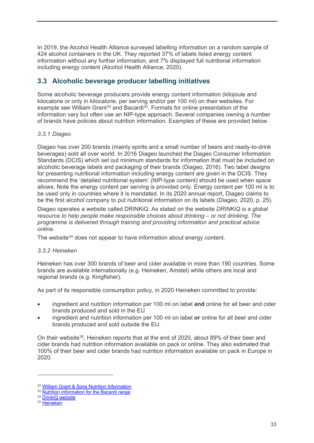In 2019, the Alcohol Health Alliance surveyed labelling information on a random sample of 424 alcohol containers in the UK. They reported 37% of labels listed energy content information without any further information, and 7% displayed full nutritional information including energy content (Alcohol Health Alliance, 2020).

### **3.3 Alcoholic beverage producer labelling initiatives**

Some alcoholic beverage producers provide energy content information (kilojoule and kilocalorie or only in kilocalorie, per serving and/or per 100 ml) on their websites. For example see William Grant<sup>[32](#page-35-0)</sup> and Bacardi<sup>33</sup>. Formats for online presentation of the information vary but often use an NIP-type approach. Several companies owning a number of brands have policies about nutrition information. Examples of these are provided below.

#### *3.3.1 Diageo*

Diageo has over 200 brands (mainly spirits and a small number of beers and ready-to-drink beverages) sold all over world. In 2016 Diageo launched the Diageo Consumer Information Standards (DCIS) which set out minimum standards for information that must be included on alcoholic beverage labels and packaging of their brands (Diageo, 2016). Two label designs for presenting nutritional information including energy content are given in the DCIS. They recommend the 'detailed nutritional system' (NIP-type content) should be used when space allows. Note the energy content per serving is provided only. Energy content per 100 ml is to be used only in countries where it is mandated. In its 2020 annual report, Diageo claims to be the first alcohol company to put nutritional information on its labels (Diageo, 2020, p. 25).

Diageo operates a website called DRINKiQ. As stated on the website *DRINKiQ is a global resource to help people make responsible choices about drinking – or not drinking. The programme is delivered through training and providing information and practical advice online.*

The website<sup>[34](#page-35-2)</sup> does not appear to have information about energy content.

#### *3.3.2 Heineken*

Heineken has over 300 brands of beer and cider available in more than 190 countries. Some brands are available internationally (e.g. Heineken, Amstel) while others are local and regional brands (e.g. Kingfisher).

As part of its responsible consumption policy, in 2020 Heineken committed to provide:

- ingredient and nutrition information per 100 ml on label **and** online for all beer and cider brands produced and sold in the EU
- ingredient and nutrition information per 100 ml on label **or** online for all beer and cider brands produced and sold outside the EU.

On their website<sup>35</sup>, Heineken reports that at the end of 2020, about 89% of their beer and cider brands had nutrition information available on pack or online. They also estimated that 100% of their beer and cider brands had nutrition information available on pack in Europe in 2020.

<span id="page-35-0"></span><sup>32</sup> [William Grant & Sons Nutrition Information](https://www.williamgrant.com/gb/nutritional-information/)

<span id="page-35-1"></span><sup>&</sup>lt;sup>33</sup> [Nutrition information for the Bacardi range](https://www.bacardilimited.com/nutrition/bacardi?brand_locale=en-US)

<span id="page-35-2"></span><sup>&</sup>lt;sup>34</sup> [DrinkiQ website](https://www.drinkiq.com/en-nz/)

<span id="page-35-3"></span><sup>&</sup>lt;sup>35</sup> [Heineken](https://www.theheinekencompany.com/)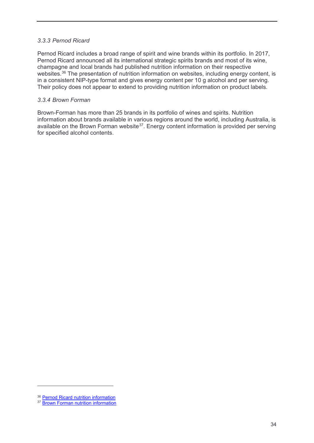#### *3.3.3 Pernod Ricard*

Pernod Ricard includes a broad range of spirit and wine brands within its portfolio. In 2017, Pernod Ricard announced all its international strategic spirits brands and most of its wine, champagne and local brands had published nutrition information on their respective websites.<sup>[36](#page-36-0)</sup> The presentation of nutrition information on websites, including energy content, is in a consistent NIP-type format and gives energy content per 10 g alcohol and per serving. Their policy does not appear to extend to providing nutrition information on product labels.

#### *3.3.4 Brown Forman*

Brown-Forman has more than 25 brands in its portfolio of wines and spirits. Nutrition information about brands available in various regions around the world, including Australia, is available on the Brown Forman website<sup>37</sup>. Energy content information is provided per serving for specified alcohol contents.

<span id="page-36-1"></span><span id="page-36-0"></span><sup>&</sup>lt;sup>36</sup> [Pernod Ricard nutrition information](https://www.pernod-ricard.com/en/media/press-releases/pernod-ricard-feature-nutritional-information-all-its-strategic-brands/)

<sup>&</sup>lt;sup>37</sup> [Brown Forman nutrition information](https://nutrition.brown-forman.com/)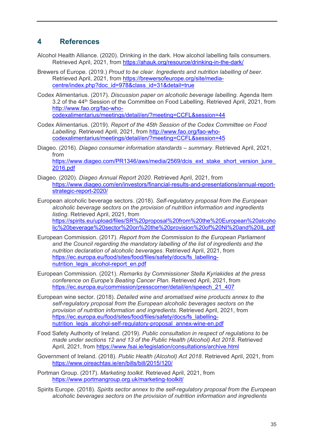## **4 References**

- Alcohol Health Alliance. (2020). Drinking in the dark. How alcohol labelling fails consumers. Retrieved April, 2021, from<https://ahauk.org/resource/drinking-in-the-dark/>
- Brewers of Europe. (2019.) *Proud to be clear. Ingredients and nutrition labelling of beer*. Retrieved April, 2021, from [https://brewersofeurope.org/site/media](https://brewersofeurope.org/site/media-centre/index.php?doc_id=978&class_id=31&detail=true)[centre/index.php?doc\\_id=978&class\\_id=31&detail=true](https://brewersofeurope.org/site/media-centre/index.php?doc_id=978&class_id=31&detail=true)
- Codex Alimentarius. (2017). *Discussion paper on alcoholic beverage labelling*. Agenda Item 3.2 of the 44th Session of the Committee on Food Labelling. Retrieved April, 2021, from [http://www.fao.org/fao-who](http://www.fao.org/fao-who-codexalimentarius/meetings/detail/en/?meeting=CCFL&session=44)[codexalimentarius/meetings/detail/en/?meeting=CCFL&session=44](http://www.fao.org/fao-who-codexalimentarius/meetings/detail/en/?meeting=CCFL&session=44)

- Codex Alimentarius. (2019). *Report of the 45th Session of the Codex Committee on Food Labelling*. Retrieved April, 2021, from [http://www.fao.org/fao-who](http://www.fao.org/fao-who-codexalimentarius/meetings/detail/en/?meeting=CCFL&session=45)[codexalimentarius/meetings/detail/en/?meeting=CCFL&session=45](http://www.fao.org/fao-who-codexalimentarius/meetings/detail/en/?meeting=CCFL&session=45)
- Diageo. (2016). *Diageo consumer information standards – summary*. Retrieved April, 2021, from

https://www.diageo.com/PR1346/aws/media/2569/dcis\_ext\_stake\_short\_version\_june [2016.pdf](https://www.diageo.com/PR1346/aws/media/2569/dcis_ext_stake_short_version_june_2016.pdf)

- Diageo. (2020). *Diageo Annual Report 2020*. Retrieved April, 2021, from [https://www.diageo.com/en/investors/financial-results-and-presentations/annual-report](https://www.diageo.com/en/investors/financial-results-and-presentations/annual-report-strategic-report-2020/)[strategic-report-2020/](https://www.diageo.com/en/investors/financial-results-and-presentations/annual-report-strategic-report-2020/)
- European alcoholic beverage sectors. (2018). *Self-regulatory proposal from the European alcoholic beverage sectors on the provision of nutrition information and ingredients listing*. Retrieved April, 2021, from [https://spirits.eu/upload/files/SR%20proposal%20from%20the%20European%20alcoho](https://spirits.eu/upload/files/SR%20proposal%20from%20the%20European%20alcoholic%20beverage%20sector%20on%20the%20provision%20of%20NI%20and%20IL.pdf) [lic%20beverage%20sector%20on%20the%20provision%20of%20NI%20and%20IL.pdf](https://spirits.eu/upload/files/SR%20proposal%20from%20the%20European%20alcoholic%20beverage%20sector%20on%20the%20provision%20of%20NI%20and%20IL.pdf)
- European Commission. (2017). *Report from the Commission to the European Parliament and the Council regarding the mandatory labelling of the list of ingredients and the nutrition declaration of alcoholic beverages*. Retrieved April, 2021, from [https://ec.europa.eu/food/sites/food/files/safety/docs/fs\\_labelling](https://ec.europa.eu/food/sites/food/files/safety/docs/fs_labelling-nutrition_legis_alcohol-report_en.pdf)[nutrition\\_legis\\_alcohol-report\\_en.pdf](https://ec.europa.eu/food/sites/food/files/safety/docs/fs_labelling-nutrition_legis_alcohol-report_en.pdf)
- European Commission. (2021). *Remarks by Commissioner Stella Kyriakides at the press conference on Europe's Beating Cancer Plan*. Retrieved April, 2021, from [https://ec.europa.eu/commission/presscorner/detail/en/speech\\_21\\_407](https://ec.europa.eu/commission/presscorner/detail/en/speech_21_407)
- European wine sector. (2018). *Detailed wine and aromatised wine products annex to the self-regulatory proposal from the European alcoholic beverages sectors on the provision of nutrition information and ingredients*. Retrieved April, 2021, from [https://ec.europa.eu/food/sites/food/files/safety/docs/fs\\_labelling](https://ec.europa.eu/food/sites/food/files/safety/docs/fs_labelling-nutrition_legis_alcohol-self-regulatory-proposal_annex-wine-en.pdf)nutrition legis alcohol-self-regulatory-proposal annex-wine-en.pdf
- Food Safety Authority of Ireland. (2019). *Public consultation in respect of regulations to be made under sections 12 and 13 of the Public Health (Alcohol) Act 2018*. Retrieved April, 2021, from <https://www.fsai.ie/legislation/consultations/archive.html>
- Government of Ireland. (2018). *Public Health (Alcohol) Act 2018*. Retrieved April, 2021, from <https://www.oireachtas.ie/en/bills/bill/2015/120/>

Portman Group. (2017). *Marketing toolkit*. Retrieved April, 2021, from <https://www.portmangroup.org.uk/marketing-toolkit/>

Spirits Europe. (2018). *Spirits sector annex to the self-regulatory proposal from the European alcoholic beverages sectors on the provision of nutrition information and ingredients*